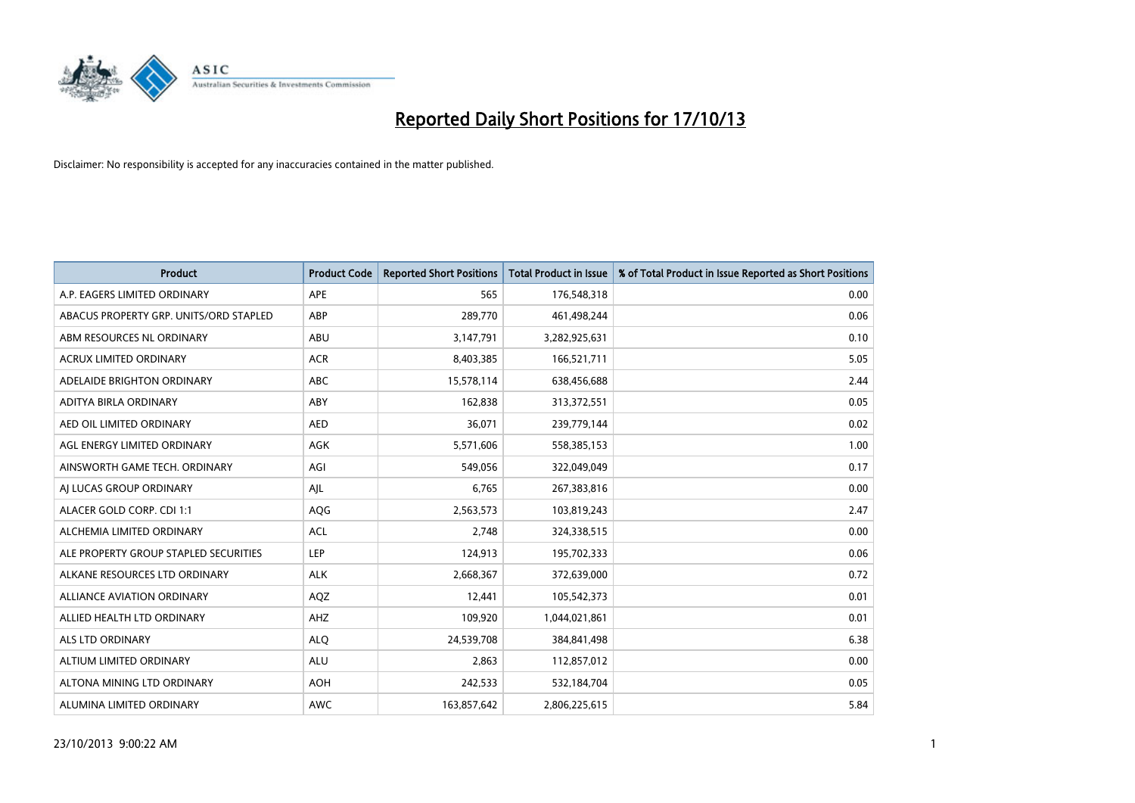

| <b>Product</b>                         | <b>Product Code</b> | <b>Reported Short Positions</b> | <b>Total Product in Issue</b> | % of Total Product in Issue Reported as Short Positions |
|----------------------------------------|---------------------|---------------------------------|-------------------------------|---------------------------------------------------------|
| A.P. EAGERS LIMITED ORDINARY           | APE                 | 565                             | 176,548,318                   | 0.00                                                    |
| ABACUS PROPERTY GRP. UNITS/ORD STAPLED | ABP                 | 289,770                         | 461,498,244                   | 0.06                                                    |
| ABM RESOURCES NL ORDINARY              | ABU                 | 3,147,791                       | 3,282,925,631                 | 0.10                                                    |
| <b>ACRUX LIMITED ORDINARY</b>          | <b>ACR</b>          | 8,403,385                       | 166,521,711                   | 5.05                                                    |
| ADELAIDE BRIGHTON ORDINARY             | <b>ABC</b>          | 15,578,114                      | 638,456,688                   | 2.44                                                    |
| ADITYA BIRLA ORDINARY                  | ABY                 | 162,838                         | 313,372,551                   | 0.05                                                    |
| AED OIL LIMITED ORDINARY               | <b>AED</b>          | 36,071                          | 239,779,144                   | 0.02                                                    |
| AGL ENERGY LIMITED ORDINARY            | AGK                 | 5,571,606                       | 558,385,153                   | 1.00                                                    |
| AINSWORTH GAME TECH. ORDINARY          | AGI                 | 549,056                         | 322,049,049                   | 0.17                                                    |
| AI LUCAS GROUP ORDINARY                | AJL                 | 6,765                           | 267,383,816                   | 0.00                                                    |
| ALACER GOLD CORP. CDI 1:1              | AQG                 | 2,563,573                       | 103,819,243                   | 2.47                                                    |
| ALCHEMIA LIMITED ORDINARY              | <b>ACL</b>          | 2,748                           | 324,338,515                   | 0.00                                                    |
| ALE PROPERTY GROUP STAPLED SECURITIES  | LEP                 | 124,913                         | 195,702,333                   | 0.06                                                    |
| ALKANE RESOURCES LTD ORDINARY          | <b>ALK</b>          | 2,668,367                       | 372,639,000                   | 0.72                                                    |
| ALLIANCE AVIATION ORDINARY             | AQZ                 | 12,441                          | 105,542,373                   | 0.01                                                    |
| ALLIED HEALTH LTD ORDINARY             | AHZ                 | 109,920                         | 1,044,021,861                 | 0.01                                                    |
| ALS LTD ORDINARY                       | <b>ALQ</b>          | 24,539,708                      | 384, 841, 498                 | 6.38                                                    |
| ALTIUM LIMITED ORDINARY                | ALU                 | 2,863                           | 112,857,012                   | 0.00                                                    |
| ALTONA MINING LTD ORDINARY             | <b>AOH</b>          | 242,533                         | 532,184,704                   | 0.05                                                    |
| ALUMINA LIMITED ORDINARY               | <b>AWC</b>          | 163,857,642                     | 2,806,225,615                 | 5.84                                                    |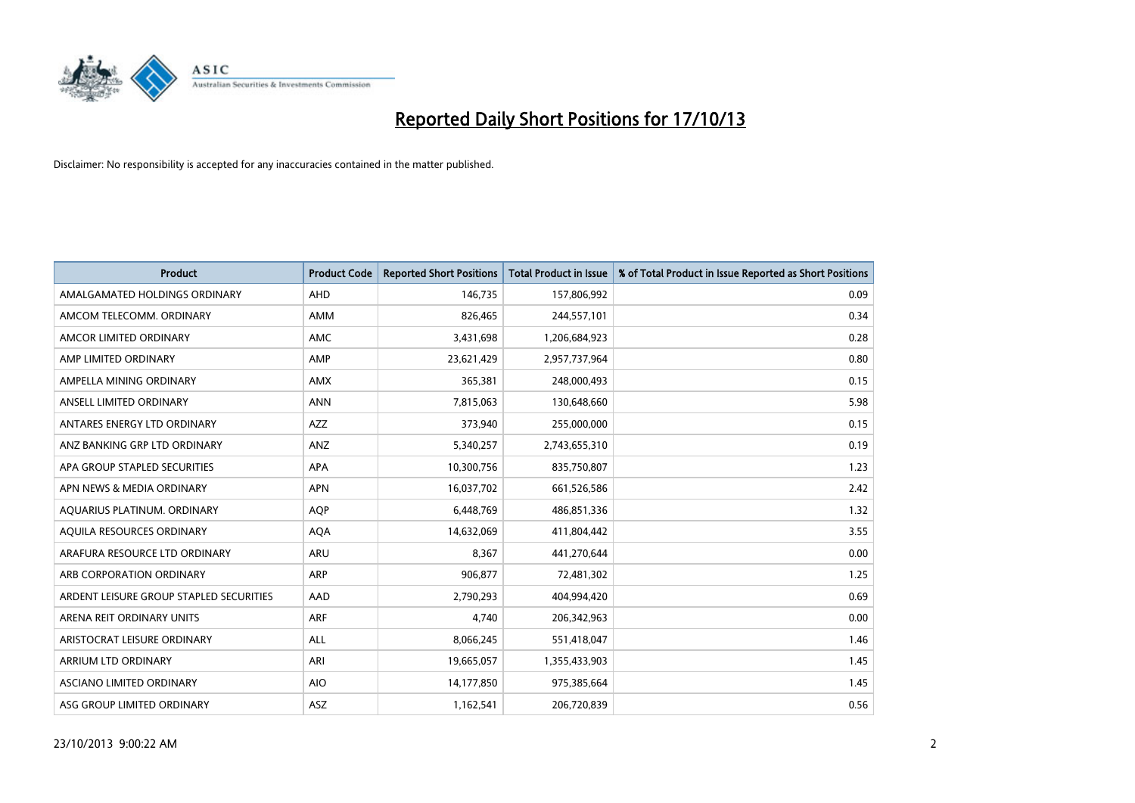

| <b>Product</b>                          | <b>Product Code</b> | <b>Reported Short Positions</b> | <b>Total Product in Issue</b> | % of Total Product in Issue Reported as Short Positions |
|-----------------------------------------|---------------------|---------------------------------|-------------------------------|---------------------------------------------------------|
| AMALGAMATED HOLDINGS ORDINARY           | <b>AHD</b>          | 146,735                         | 157,806,992                   | 0.09                                                    |
| AMCOM TELECOMM. ORDINARY                | AMM                 | 826,465                         | 244,557,101                   | 0.34                                                    |
| AMCOR LIMITED ORDINARY                  | AMC                 | 3,431,698                       | 1,206,684,923                 | 0.28                                                    |
| AMP LIMITED ORDINARY                    | AMP                 | 23,621,429                      | 2,957,737,964                 | 0.80                                                    |
| AMPELLA MINING ORDINARY                 | <b>AMX</b>          | 365,381                         | 248,000,493                   | 0.15                                                    |
| ANSELL LIMITED ORDINARY                 | <b>ANN</b>          | 7,815,063                       | 130,648,660                   | 5.98                                                    |
| ANTARES ENERGY LTD ORDINARY             | AZZ                 | 373,940                         | 255,000,000                   | 0.15                                                    |
| ANZ BANKING GRP LTD ORDINARY            | ANZ                 | 5,340,257                       | 2,743,655,310                 | 0.19                                                    |
| APA GROUP STAPLED SECURITIES            | <b>APA</b>          | 10,300,756                      | 835,750,807                   | 1.23                                                    |
| APN NEWS & MEDIA ORDINARY               | <b>APN</b>          | 16,037,702                      | 661,526,586                   | 2.42                                                    |
| AQUARIUS PLATINUM. ORDINARY             | <b>AOP</b>          | 6,448,769                       | 486,851,336                   | 1.32                                                    |
| AQUILA RESOURCES ORDINARY               | <b>AQA</b>          | 14,632,069                      | 411,804,442                   | 3.55                                                    |
| ARAFURA RESOURCE LTD ORDINARY           | ARU                 | 8,367                           | 441,270,644                   | 0.00                                                    |
| ARB CORPORATION ORDINARY                | ARP                 | 906,877                         | 72,481,302                    | 1.25                                                    |
| ARDENT LEISURE GROUP STAPLED SECURITIES | AAD                 | 2,790,293                       | 404,994,420                   | 0.69                                                    |
| ARENA REIT ORDINARY UNITS               | ARF                 | 4,740                           | 206,342,963                   | 0.00                                                    |
| ARISTOCRAT LEISURE ORDINARY             | ALL                 | 8,066,245                       | 551,418,047                   | 1.46                                                    |
| ARRIUM LTD ORDINARY                     | ARI                 | 19,665,057                      | 1,355,433,903                 | 1.45                                                    |
| ASCIANO LIMITED ORDINARY                | <b>AIO</b>          | 14,177,850                      | 975,385,664                   | 1.45                                                    |
| ASG GROUP LIMITED ORDINARY              | ASZ                 | 1,162,541                       | 206,720,839                   | 0.56                                                    |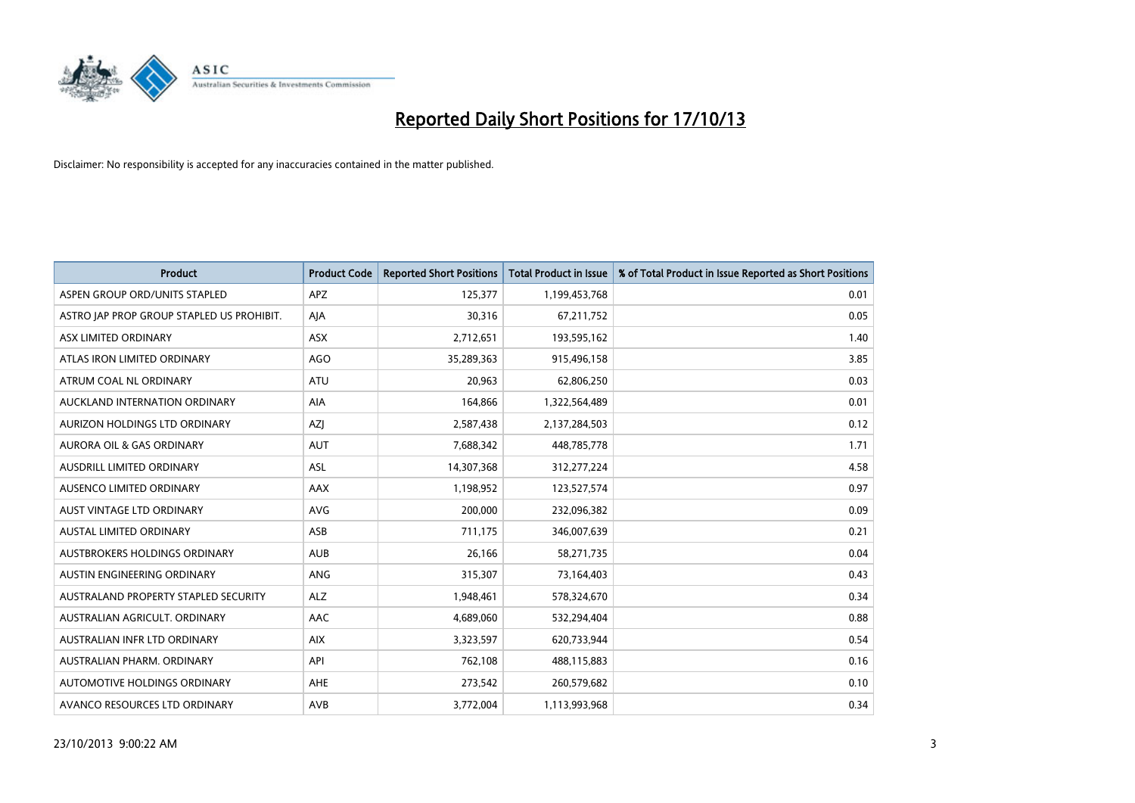

| <b>Product</b>                            | <b>Product Code</b> | <b>Reported Short Positions</b> | <b>Total Product in Issue</b> | % of Total Product in Issue Reported as Short Positions |
|-------------------------------------------|---------------------|---------------------------------|-------------------------------|---------------------------------------------------------|
| ASPEN GROUP ORD/UNITS STAPLED             | <b>APZ</b>          | 125,377                         | 1,199,453,768                 | 0.01                                                    |
| ASTRO JAP PROP GROUP STAPLED US PROHIBIT. | AJA                 | 30,316                          | 67,211,752                    | 0.05                                                    |
| ASX LIMITED ORDINARY                      | ASX                 | 2,712,651                       | 193,595,162                   | 1.40                                                    |
| ATLAS IRON LIMITED ORDINARY               | AGO                 | 35,289,363                      | 915,496,158                   | 3.85                                                    |
| ATRUM COAL NL ORDINARY                    | <b>ATU</b>          | 20,963                          | 62,806,250                    | 0.03                                                    |
| AUCKLAND INTERNATION ORDINARY             | <b>AIA</b>          | 164,866                         | 1,322,564,489                 | 0.01                                                    |
| AURIZON HOLDINGS LTD ORDINARY             | AZJ                 | 2,587,438                       | 2,137,284,503                 | 0.12                                                    |
| AURORA OIL & GAS ORDINARY                 | <b>AUT</b>          | 7,688,342                       | 448,785,778                   | 1.71                                                    |
| AUSDRILL LIMITED ORDINARY                 | <b>ASL</b>          | 14,307,368                      | 312,277,224                   | 4.58                                                    |
| AUSENCO LIMITED ORDINARY                  | AAX                 | 1,198,952                       | 123,527,574                   | 0.97                                                    |
| AUST VINTAGE LTD ORDINARY                 | <b>AVG</b>          | 200,000                         | 232,096,382                   | 0.09                                                    |
| AUSTAL LIMITED ORDINARY                   | ASB                 | 711,175                         | 346,007,639                   | 0.21                                                    |
| AUSTBROKERS HOLDINGS ORDINARY             | <b>AUB</b>          | 26,166                          | 58,271,735                    | 0.04                                                    |
| AUSTIN ENGINEERING ORDINARY               | ANG                 | 315,307                         | 73,164,403                    | 0.43                                                    |
| AUSTRALAND PROPERTY STAPLED SECURITY      | <b>ALZ</b>          | 1,948,461                       | 578,324,670                   | 0.34                                                    |
| AUSTRALIAN AGRICULT. ORDINARY             | AAC                 | 4,689,060                       | 532,294,404                   | 0.88                                                    |
| AUSTRALIAN INFR LTD ORDINARY              | <b>AIX</b>          | 3,323,597                       | 620,733,944                   | 0.54                                                    |
| AUSTRALIAN PHARM, ORDINARY                | API                 | 762,108                         | 488,115,883                   | 0.16                                                    |
| AUTOMOTIVE HOLDINGS ORDINARY              | AHE                 | 273,542                         | 260,579,682                   | 0.10                                                    |
| AVANCO RESOURCES LTD ORDINARY             | AVB                 | 3,772,004                       | 1,113,993,968                 | 0.34                                                    |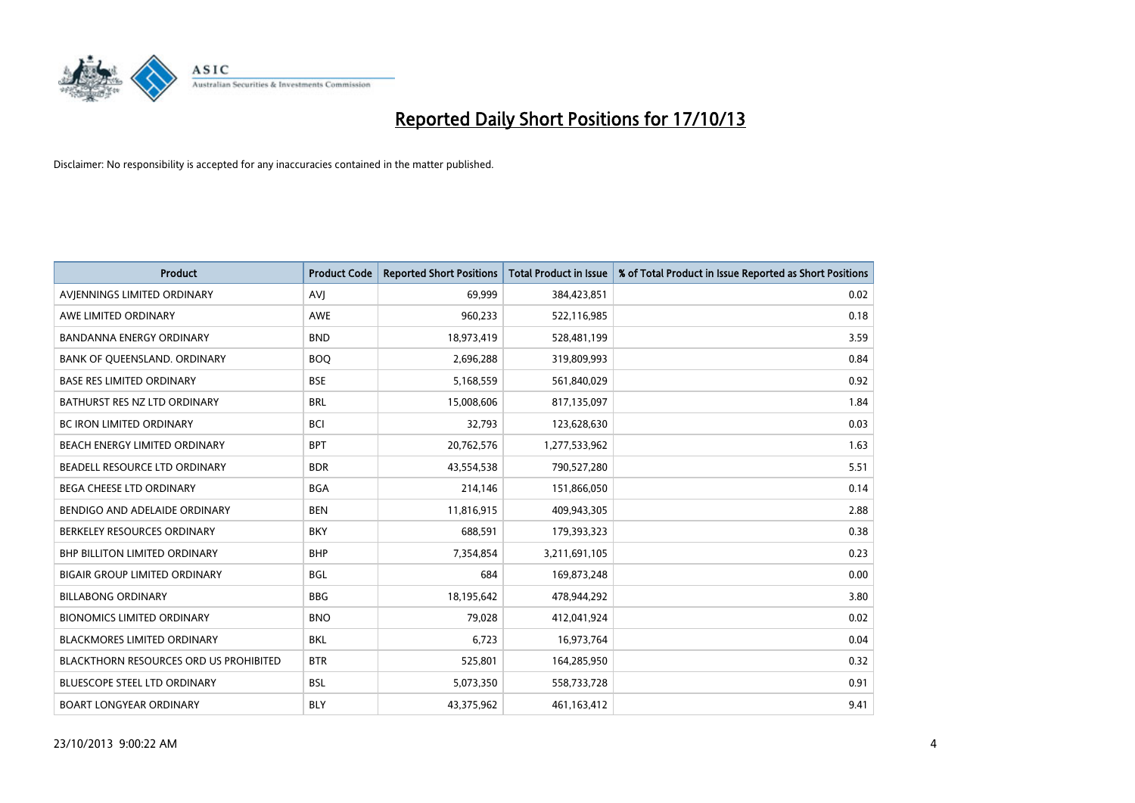

| <b>Product</b>                                | <b>Product Code</b> | <b>Reported Short Positions</b> | <b>Total Product in Issue</b> | % of Total Product in Issue Reported as Short Positions |
|-----------------------------------------------|---------------------|---------------------------------|-------------------------------|---------------------------------------------------------|
| AVIENNINGS LIMITED ORDINARY                   | <b>AVJ</b>          | 69,999                          | 384,423,851                   | 0.02                                                    |
| AWE LIMITED ORDINARY                          | AWE                 | 960,233                         | 522,116,985                   | 0.18                                                    |
| <b>BANDANNA ENERGY ORDINARY</b>               | <b>BND</b>          | 18,973,419                      | 528,481,199                   | 3.59                                                    |
| BANK OF QUEENSLAND. ORDINARY                  | <b>BOO</b>          | 2,696,288                       | 319,809,993                   | 0.84                                                    |
| <b>BASE RES LIMITED ORDINARY</b>              | <b>BSE</b>          | 5,168,559                       | 561,840,029                   | 0.92                                                    |
| BATHURST RES NZ LTD ORDINARY                  | <b>BRL</b>          | 15,008,606                      | 817,135,097                   | 1.84                                                    |
| <b>BC IRON LIMITED ORDINARY</b>               | <b>BCI</b>          | 32,793                          | 123,628,630                   | 0.03                                                    |
| BEACH ENERGY LIMITED ORDINARY                 | <b>BPT</b>          | 20,762,576                      | 1,277,533,962                 | 1.63                                                    |
| BEADELL RESOURCE LTD ORDINARY                 | <b>BDR</b>          | 43,554,538                      | 790,527,280                   | 5.51                                                    |
| BEGA CHEESE LTD ORDINARY                      | <b>BGA</b>          | 214,146                         | 151,866,050                   | 0.14                                                    |
| BENDIGO AND ADELAIDE ORDINARY                 | <b>BEN</b>          | 11,816,915                      | 409,943,305                   | 2.88                                                    |
| BERKELEY RESOURCES ORDINARY                   | <b>BKY</b>          | 688,591                         | 179,393,323                   | 0.38                                                    |
| <b>BHP BILLITON LIMITED ORDINARY</b>          | <b>BHP</b>          | 7,354,854                       | 3,211,691,105                 | 0.23                                                    |
| <b>BIGAIR GROUP LIMITED ORDINARY</b>          | <b>BGL</b>          | 684                             | 169,873,248                   | 0.00                                                    |
| <b>BILLABONG ORDINARY</b>                     | <b>BBG</b>          | 18,195,642                      | 478,944,292                   | 3.80                                                    |
| <b>BIONOMICS LIMITED ORDINARY</b>             | <b>BNO</b>          | 79,028                          | 412,041,924                   | 0.02                                                    |
| <b>BLACKMORES LIMITED ORDINARY</b>            | <b>BKL</b>          | 6,723                           | 16,973,764                    | 0.04                                                    |
| <b>BLACKTHORN RESOURCES ORD US PROHIBITED</b> | <b>BTR</b>          | 525,801                         | 164,285,950                   | 0.32                                                    |
| <b>BLUESCOPE STEEL LTD ORDINARY</b>           | <b>BSL</b>          | 5,073,350                       | 558,733,728                   | 0.91                                                    |
| <b>BOART LONGYEAR ORDINARY</b>                | <b>BLY</b>          | 43,375,962                      | 461,163,412                   | 9.41                                                    |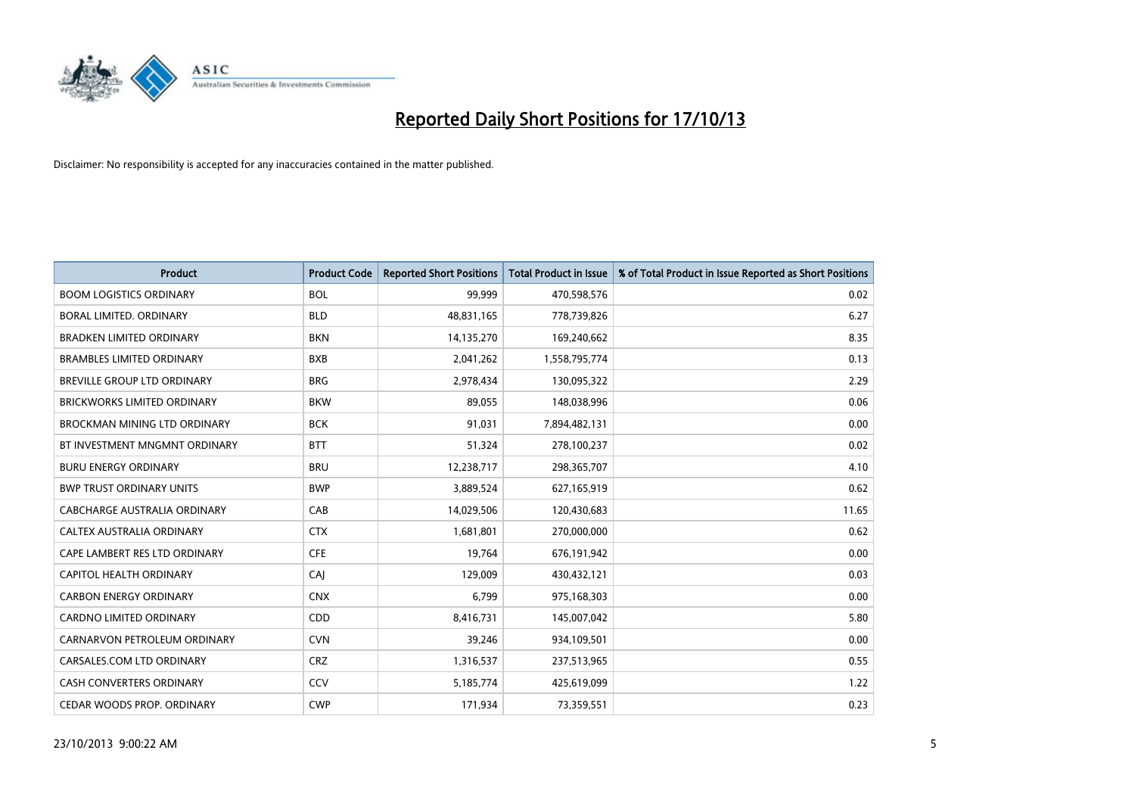

| <b>Product</b>                     | <b>Product Code</b> | <b>Reported Short Positions</b> | <b>Total Product in Issue</b> | % of Total Product in Issue Reported as Short Positions |
|------------------------------------|---------------------|---------------------------------|-------------------------------|---------------------------------------------------------|
| <b>BOOM LOGISTICS ORDINARY</b>     | <b>BOL</b>          | 99,999                          | 470,598,576                   | 0.02                                                    |
| BORAL LIMITED. ORDINARY            | <b>BLD</b>          | 48,831,165                      | 778,739,826                   | 6.27                                                    |
| <b>BRADKEN LIMITED ORDINARY</b>    | <b>BKN</b>          | 14,135,270                      | 169,240,662                   | 8.35                                                    |
| <b>BRAMBLES LIMITED ORDINARY</b>   | <b>BXB</b>          | 2,041,262                       | 1,558,795,774                 | 0.13                                                    |
| BREVILLE GROUP LTD ORDINARY        | <b>BRG</b>          | 2,978,434                       | 130,095,322                   | 2.29                                                    |
| <b>BRICKWORKS LIMITED ORDINARY</b> | <b>BKW</b>          | 89,055                          | 148,038,996                   | 0.06                                                    |
| BROCKMAN MINING LTD ORDINARY       | <b>BCK</b>          | 91,031                          | 7,894,482,131                 | 0.00                                                    |
| BT INVESTMENT MNGMNT ORDINARY      | <b>BTT</b>          | 51,324                          | 278,100,237                   | 0.02                                                    |
| <b>BURU ENERGY ORDINARY</b>        | <b>BRU</b>          | 12,238,717                      | 298,365,707                   | 4.10                                                    |
| <b>BWP TRUST ORDINARY UNITS</b>    | <b>BWP</b>          | 3,889,524                       | 627,165,919                   | 0.62                                                    |
| CABCHARGE AUSTRALIA ORDINARY       | CAB                 | 14,029,506                      | 120,430,683                   | 11.65                                                   |
| CALTEX AUSTRALIA ORDINARY          | <b>CTX</b>          | 1,681,801                       | 270,000,000                   | 0.62                                                    |
| CAPE LAMBERT RES LTD ORDINARY      | <b>CFE</b>          | 19,764                          | 676,191,942                   | 0.00                                                    |
| <b>CAPITOL HEALTH ORDINARY</b>     | CAI                 | 129,009                         | 430,432,121                   | 0.03                                                    |
| <b>CARBON ENERGY ORDINARY</b>      | <b>CNX</b>          | 6,799                           | 975,168,303                   | 0.00                                                    |
| CARDNO LIMITED ORDINARY            | CDD                 | 8,416,731                       | 145,007,042                   | 5.80                                                    |
| CARNARVON PETROLEUM ORDINARY       | <b>CVN</b>          | 39,246                          | 934,109,501                   | 0.00                                                    |
| CARSALES.COM LTD ORDINARY          | <b>CRZ</b>          | 1,316,537                       | 237,513,965                   | 0.55                                                    |
| <b>CASH CONVERTERS ORDINARY</b>    | CCV                 | 5,185,774                       | 425,619,099                   | 1.22                                                    |
| CEDAR WOODS PROP. ORDINARY         | <b>CWP</b>          | 171,934                         | 73,359,551                    | 0.23                                                    |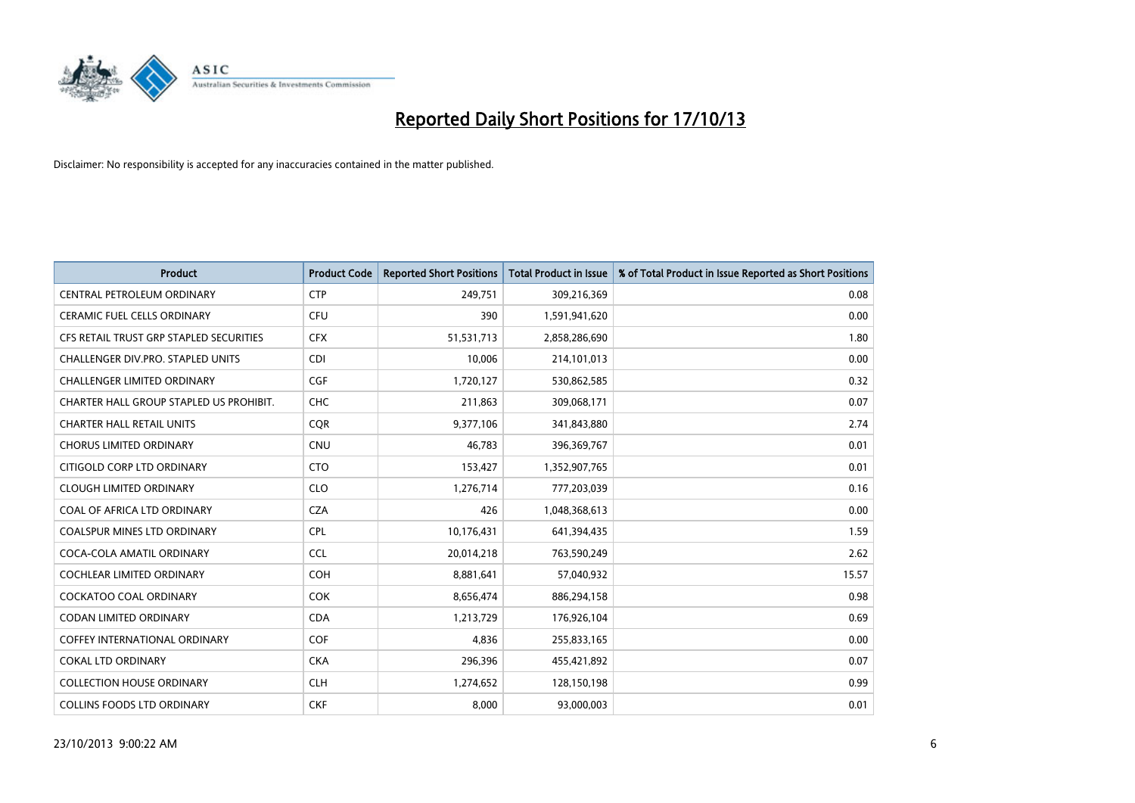

| <b>Product</b>                          | <b>Product Code</b> | <b>Reported Short Positions</b> | <b>Total Product in Issue</b> | % of Total Product in Issue Reported as Short Positions |
|-----------------------------------------|---------------------|---------------------------------|-------------------------------|---------------------------------------------------------|
| CENTRAL PETROLEUM ORDINARY              | <b>CTP</b>          | 249,751                         | 309,216,369                   | 0.08                                                    |
| CERAMIC FUEL CELLS ORDINARY             | <b>CFU</b>          | 390                             | 1,591,941,620                 | 0.00                                                    |
| CFS RETAIL TRUST GRP STAPLED SECURITIES | <b>CFX</b>          | 51,531,713                      | 2,858,286,690                 | 1.80                                                    |
| CHALLENGER DIV.PRO. STAPLED UNITS       | <b>CDI</b>          | 10,006                          | 214,101,013                   | 0.00                                                    |
| <b>CHALLENGER LIMITED ORDINARY</b>      | <b>CGF</b>          | 1,720,127                       | 530,862,585                   | 0.32                                                    |
| CHARTER HALL GROUP STAPLED US PROHIBIT. | <b>CHC</b>          | 211,863                         | 309,068,171                   | 0.07                                                    |
| <b>CHARTER HALL RETAIL UNITS</b>        | <b>COR</b>          | 9,377,106                       | 341,843,880                   | 2.74                                                    |
| <b>CHORUS LIMITED ORDINARY</b>          | <b>CNU</b>          | 46,783                          | 396,369,767                   | 0.01                                                    |
| CITIGOLD CORP LTD ORDINARY              | <b>CTO</b>          | 153,427                         | 1,352,907,765                 | 0.01                                                    |
| <b>CLOUGH LIMITED ORDINARY</b>          | <b>CLO</b>          | 1,276,714                       | 777,203,039                   | 0.16                                                    |
| COAL OF AFRICA LTD ORDINARY             | <b>CZA</b>          | 426                             | 1,048,368,613                 | 0.00                                                    |
| <b>COALSPUR MINES LTD ORDINARY</b>      | <b>CPL</b>          | 10,176,431                      | 641,394,435                   | 1.59                                                    |
| COCA-COLA AMATIL ORDINARY               | <b>CCL</b>          | 20,014,218                      | 763,590,249                   | 2.62                                                    |
| COCHLEAR LIMITED ORDINARY               | <b>COH</b>          | 8,881,641                       | 57,040,932                    | 15.57                                                   |
| <b>COCKATOO COAL ORDINARY</b>           | <b>COK</b>          | 8,656,474                       | 886,294,158                   | 0.98                                                    |
| CODAN LIMITED ORDINARY                  | <b>CDA</b>          | 1,213,729                       | 176,926,104                   | 0.69                                                    |
| COFFEY INTERNATIONAL ORDINARY           | <b>COF</b>          | 4,836                           | 255,833,165                   | 0.00                                                    |
| <b>COKAL LTD ORDINARY</b>               | <b>CKA</b>          | 296,396                         | 455,421,892                   | 0.07                                                    |
| <b>COLLECTION HOUSE ORDINARY</b>        | <b>CLH</b>          | 1,274,652                       | 128,150,198                   | 0.99                                                    |
| <b>COLLINS FOODS LTD ORDINARY</b>       | <b>CKF</b>          | 8,000                           | 93,000,003                    | 0.01                                                    |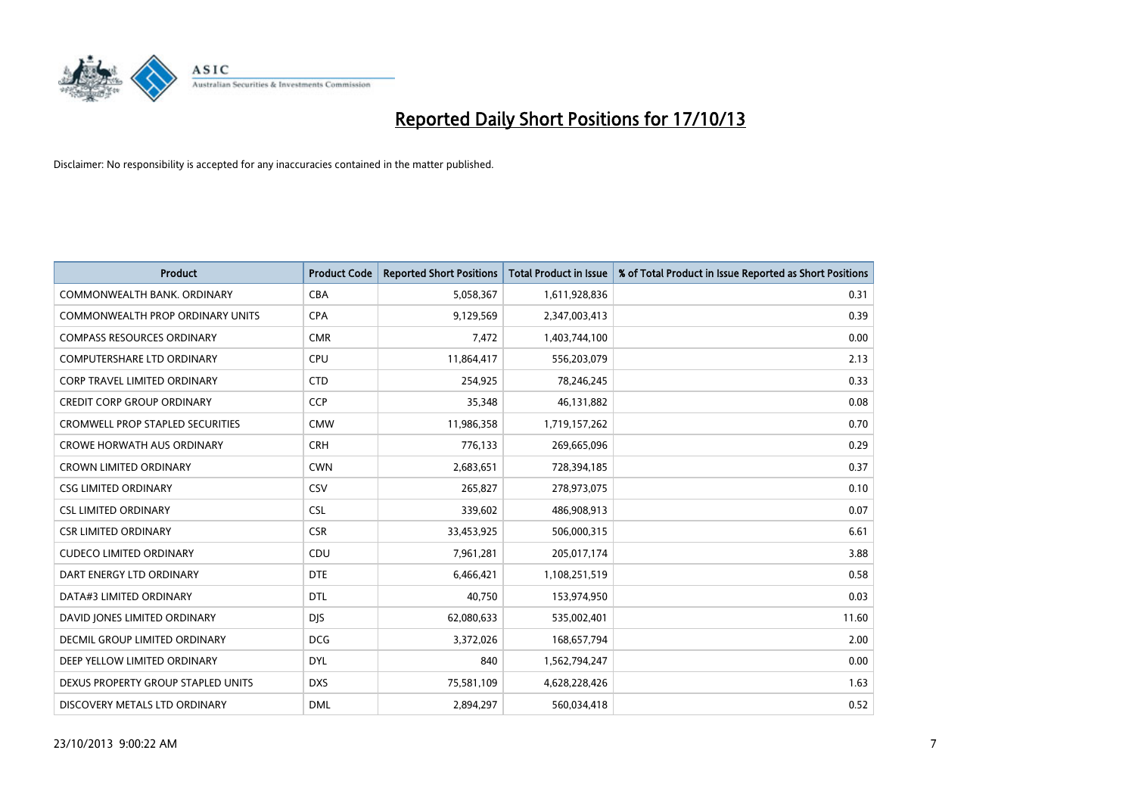

| <b>Product</b>                          | <b>Product Code</b> | <b>Reported Short Positions</b> | <b>Total Product in Issue</b> | % of Total Product in Issue Reported as Short Positions |
|-----------------------------------------|---------------------|---------------------------------|-------------------------------|---------------------------------------------------------|
| COMMONWEALTH BANK, ORDINARY             | <b>CBA</b>          | 5,058,367                       | 1,611,928,836                 | 0.31                                                    |
| COMMONWEALTH PROP ORDINARY UNITS        | <b>CPA</b>          | 9,129,569                       | 2,347,003,413                 | 0.39                                                    |
| <b>COMPASS RESOURCES ORDINARY</b>       | <b>CMR</b>          | 7,472                           | 1,403,744,100                 | 0.00                                                    |
| <b>COMPUTERSHARE LTD ORDINARY</b>       | <b>CPU</b>          | 11,864,417                      | 556,203,079                   | 2.13                                                    |
| <b>CORP TRAVEL LIMITED ORDINARY</b>     | <b>CTD</b>          | 254,925                         | 78,246,245                    | 0.33                                                    |
| <b>CREDIT CORP GROUP ORDINARY</b>       | <b>CCP</b>          | 35,348                          | 46,131,882                    | 0.08                                                    |
| <b>CROMWELL PROP STAPLED SECURITIES</b> | <b>CMW</b>          | 11,986,358                      | 1,719,157,262                 | 0.70                                                    |
| <b>CROWE HORWATH AUS ORDINARY</b>       | <b>CRH</b>          | 776,133                         | 269,665,096                   | 0.29                                                    |
| <b>CROWN LIMITED ORDINARY</b>           | <b>CWN</b>          | 2,683,651                       | 728,394,185                   | 0.37                                                    |
| <b>CSG LIMITED ORDINARY</b>             | CSV                 | 265,827                         | 278,973,075                   | 0.10                                                    |
| <b>CSL LIMITED ORDINARY</b>             | <b>CSL</b>          | 339,602                         | 486,908,913                   | 0.07                                                    |
| <b>CSR LIMITED ORDINARY</b>             | <b>CSR</b>          | 33,453,925                      | 506,000,315                   | 6.61                                                    |
| <b>CUDECO LIMITED ORDINARY</b>          | CDU                 | 7,961,281                       | 205,017,174                   | 3.88                                                    |
| DART ENERGY LTD ORDINARY                | <b>DTE</b>          | 6,466,421                       | 1,108,251,519                 | 0.58                                                    |
| DATA#3 LIMITED ORDINARY                 | <b>DTL</b>          | 40,750                          | 153,974,950                   | 0.03                                                    |
| DAVID JONES LIMITED ORDINARY            | <b>DIS</b>          | 62,080,633                      | 535,002,401                   | 11.60                                                   |
| DECMIL GROUP LIMITED ORDINARY           | <b>DCG</b>          | 3,372,026                       | 168,657,794                   | 2.00                                                    |
| DEEP YELLOW LIMITED ORDINARY            | <b>DYL</b>          | 840                             | 1,562,794,247                 | 0.00                                                    |
| DEXUS PROPERTY GROUP STAPLED UNITS      | <b>DXS</b>          | 75,581,109                      | 4,628,228,426                 | 1.63                                                    |
| DISCOVERY METALS LTD ORDINARY           | <b>DML</b>          | 2,894,297                       | 560,034,418                   | 0.52                                                    |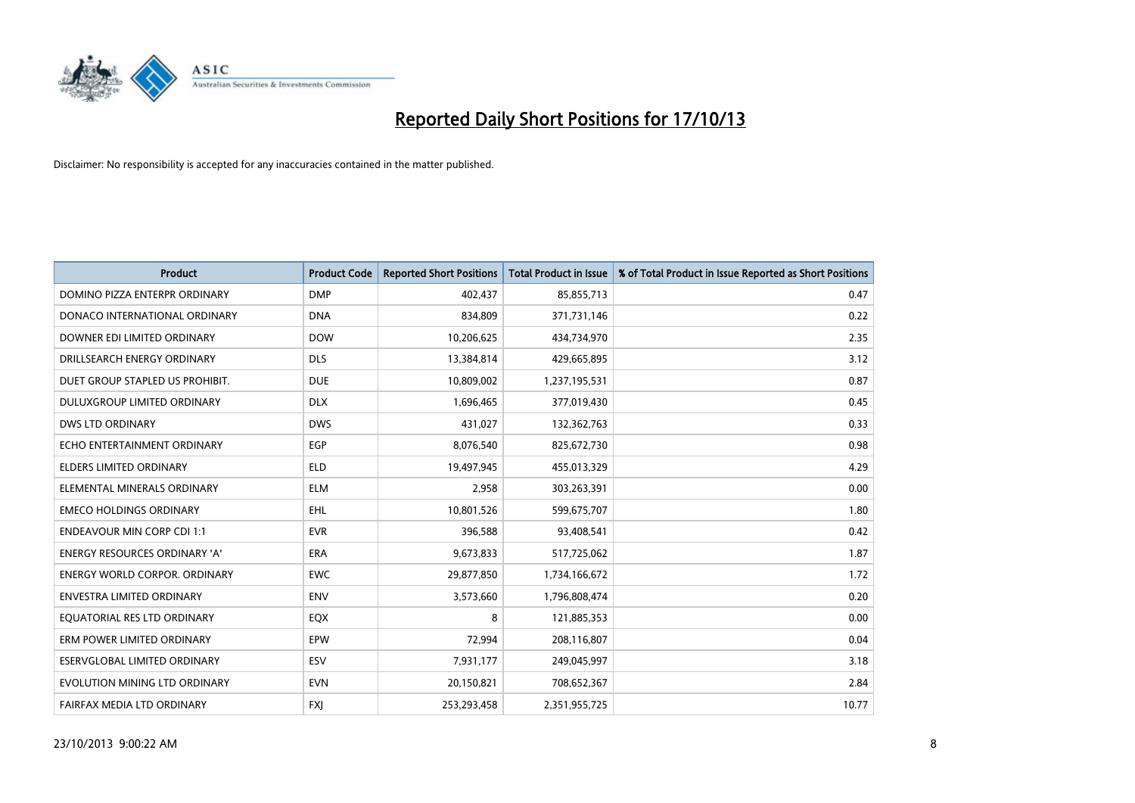

| <b>Product</b>                       | <b>Product Code</b> | <b>Reported Short Positions</b> | <b>Total Product in Issue</b> | % of Total Product in Issue Reported as Short Positions |
|--------------------------------------|---------------------|---------------------------------|-------------------------------|---------------------------------------------------------|
| DOMINO PIZZA ENTERPR ORDINARY        | <b>DMP</b>          | 402,437                         | 85,855,713                    | 0.47                                                    |
| DONACO INTERNATIONAL ORDINARY        | <b>DNA</b>          | 834,809                         | 371,731,146                   | 0.22                                                    |
| DOWNER EDI LIMITED ORDINARY          | <b>DOW</b>          | 10,206,625                      | 434,734,970                   | 2.35                                                    |
| DRILLSEARCH ENERGY ORDINARY          | <b>DLS</b>          | 13,384,814                      | 429,665,895                   | 3.12                                                    |
| DUET GROUP STAPLED US PROHIBIT.      | <b>DUE</b>          | 10,809,002                      | 1,237,195,531                 | 0.87                                                    |
| DULUXGROUP LIMITED ORDINARY          | <b>DLX</b>          | 1,696,465                       | 377,019,430                   | 0.45                                                    |
| DWS LTD ORDINARY                     | <b>DWS</b>          | 431,027                         | 132,362,763                   | 0.33                                                    |
| ECHO ENTERTAINMENT ORDINARY          | <b>EGP</b>          | 8,076,540                       | 825,672,730                   | 0.98                                                    |
| <b>ELDERS LIMITED ORDINARY</b>       | <b>ELD</b>          | 19,497,945                      | 455,013,329                   | 4.29                                                    |
| ELEMENTAL MINERALS ORDINARY          | <b>ELM</b>          | 2,958                           | 303,263,391                   | 0.00                                                    |
| <b>EMECO HOLDINGS ORDINARY</b>       | <b>EHL</b>          | 10,801,526                      | 599,675,707                   | 1.80                                                    |
| <b>ENDEAVOUR MIN CORP CDI 1:1</b>    | <b>EVR</b>          | 396,588                         | 93,408,541                    | 0.42                                                    |
| <b>ENERGY RESOURCES ORDINARY 'A'</b> | <b>ERA</b>          | 9,673,833                       | 517,725,062                   | 1.87                                                    |
| <b>ENERGY WORLD CORPOR, ORDINARY</b> | <b>EWC</b>          | 29,877,850                      | 1,734,166,672                 | 1.72                                                    |
| <b>ENVESTRA LIMITED ORDINARY</b>     | <b>ENV</b>          | 3,573,660                       | 1,796,808,474                 | 0.20                                                    |
| EQUATORIAL RES LTD ORDINARY          | EQX                 | 8                               | 121,885,353                   | 0.00                                                    |
| ERM POWER LIMITED ORDINARY           | <b>EPW</b>          | 72,994                          | 208,116,807                   | 0.04                                                    |
| <b>ESERVGLOBAL LIMITED ORDINARY</b>  | <b>ESV</b>          | 7,931,177                       | 249,045,997                   | 3.18                                                    |
| EVOLUTION MINING LTD ORDINARY        | <b>EVN</b>          | 20,150,821                      | 708,652,367                   | 2.84                                                    |
| FAIRFAX MEDIA LTD ORDINARY           | <b>FXJ</b>          | 253,293,458                     | 2,351,955,725                 | 10.77                                                   |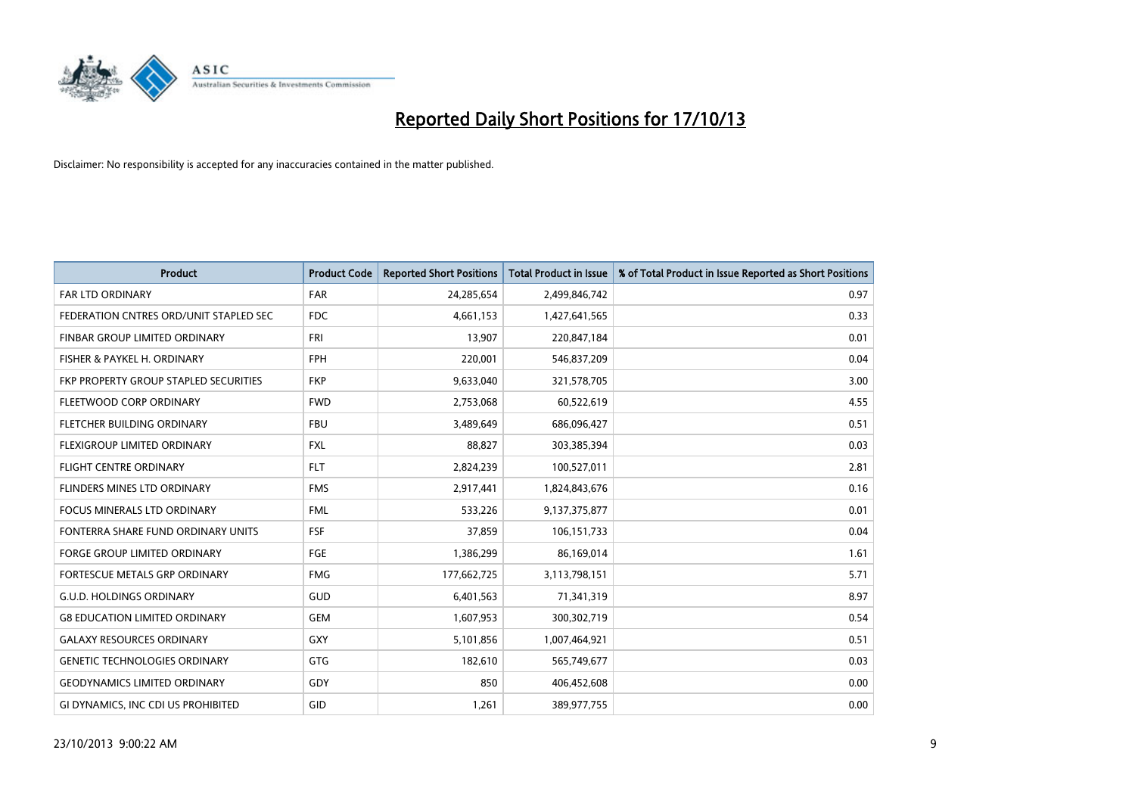

| Product                                | <b>Product Code</b> | <b>Reported Short Positions</b> | Total Product in Issue | % of Total Product in Issue Reported as Short Positions |
|----------------------------------------|---------------------|---------------------------------|------------------------|---------------------------------------------------------|
| <b>FAR LTD ORDINARY</b>                | <b>FAR</b>          | 24,285,654                      | 2,499,846,742          | 0.97                                                    |
| FEDERATION CNTRES ORD/UNIT STAPLED SEC | <b>FDC</b>          | 4,661,153                       | 1,427,641,565          | 0.33                                                    |
| <b>FINBAR GROUP LIMITED ORDINARY</b>   | <b>FRI</b>          | 13,907                          | 220,847,184            | 0.01                                                    |
| FISHER & PAYKEL H. ORDINARY            | <b>FPH</b>          | 220,001                         | 546,837,209            | 0.04                                                    |
| FKP PROPERTY GROUP STAPLED SECURITIES  | <b>FKP</b>          | 9,633,040                       | 321,578,705            | 3.00                                                    |
| FLEETWOOD CORP ORDINARY                | <b>FWD</b>          | 2,753,068                       | 60,522,619             | 4.55                                                    |
| FLETCHER BUILDING ORDINARY             | <b>FBU</b>          | 3,489,649                       | 686,096,427            | 0.51                                                    |
| FLEXIGROUP LIMITED ORDINARY            | FXL                 | 88,827                          | 303,385,394            | 0.03                                                    |
| FLIGHT CENTRE ORDINARY                 | <b>FLT</b>          | 2,824,239                       | 100,527,011            | 2.81                                                    |
| FLINDERS MINES LTD ORDINARY            | <b>FMS</b>          | 2,917,441                       | 1,824,843,676          | 0.16                                                    |
| <b>FOCUS MINERALS LTD ORDINARY</b>     | <b>FML</b>          | 533,226                         | 9,137,375,877          | 0.01                                                    |
| FONTERRA SHARE FUND ORDINARY UNITS     | <b>FSF</b>          | 37,859                          | 106, 151, 733          | 0.04                                                    |
| <b>FORGE GROUP LIMITED ORDINARY</b>    | <b>FGE</b>          | 1,386,299                       | 86,169,014             | 1.61                                                    |
| FORTESCUE METALS GRP ORDINARY          | <b>FMG</b>          | 177,662,725                     | 3,113,798,151          | 5.71                                                    |
| <b>G.U.D. HOLDINGS ORDINARY</b>        | GUD                 | 6,401,563                       | 71,341,319             | 8.97                                                    |
| <b>G8 EDUCATION LIMITED ORDINARY</b>   | <b>GEM</b>          | 1,607,953                       | 300,302,719            | 0.54                                                    |
| <b>GALAXY RESOURCES ORDINARY</b>       | <b>GXY</b>          | 5,101,856                       | 1,007,464,921          | 0.51                                                    |
| <b>GENETIC TECHNOLOGIES ORDINARY</b>   | GTG                 | 182,610                         | 565,749,677            | 0.03                                                    |
| <b>GEODYNAMICS LIMITED ORDINARY</b>    | GDY                 | 850                             | 406,452,608            | 0.00                                                    |
| GI DYNAMICS, INC CDI US PROHIBITED     | GID                 | 1,261                           | 389,977,755            | 0.00                                                    |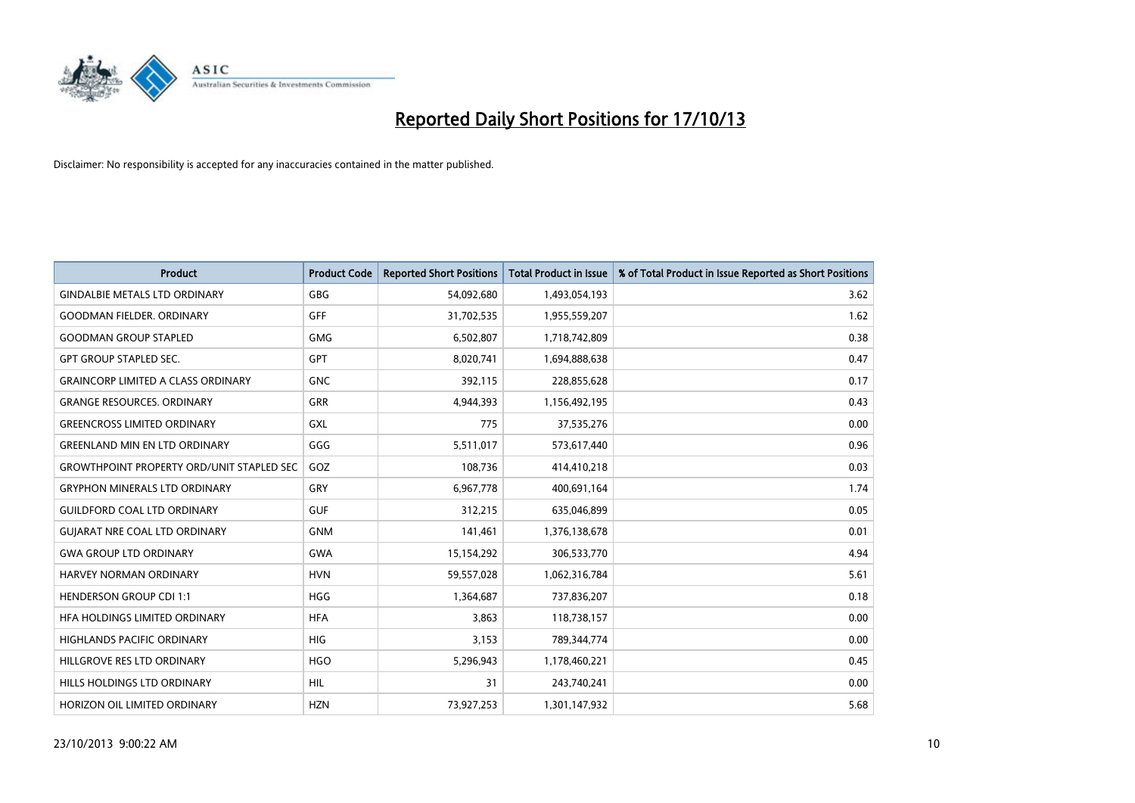

| <b>Product</b>                                   | <b>Product Code</b> | <b>Reported Short Positions</b> | <b>Total Product in Issue</b> | % of Total Product in Issue Reported as Short Positions |
|--------------------------------------------------|---------------------|---------------------------------|-------------------------------|---------------------------------------------------------|
| <b>GINDALBIE METALS LTD ORDINARY</b>             | GBG                 | 54,092,680                      | 1,493,054,193                 | 3.62                                                    |
| <b>GOODMAN FIELDER, ORDINARY</b>                 | <b>GFF</b>          | 31,702,535                      | 1,955,559,207                 | 1.62                                                    |
| <b>GOODMAN GROUP STAPLED</b>                     | <b>GMG</b>          | 6,502,807                       | 1,718,742,809                 | 0.38                                                    |
| <b>GPT GROUP STAPLED SEC.</b>                    | GPT                 | 8,020,741                       | 1,694,888,638                 | 0.47                                                    |
| <b>GRAINCORP LIMITED A CLASS ORDINARY</b>        | <b>GNC</b>          | 392,115                         | 228,855,628                   | 0.17                                                    |
| <b>GRANGE RESOURCES, ORDINARY</b>                | <b>GRR</b>          | 4,944,393                       | 1,156,492,195                 | 0.43                                                    |
| <b>GREENCROSS LIMITED ORDINARY</b>               | GXL                 | 775                             | 37,535,276                    | 0.00                                                    |
| <b>GREENLAND MIN EN LTD ORDINARY</b>             | GGG                 | 5,511,017                       | 573,617,440                   | 0.96                                                    |
| <b>GROWTHPOINT PROPERTY ORD/UNIT STAPLED SEC</b> | GOZ                 | 108,736                         | 414,410,218                   | 0.03                                                    |
| <b>GRYPHON MINERALS LTD ORDINARY</b>             | GRY                 | 6,967,778                       | 400,691,164                   | 1.74                                                    |
| <b>GUILDFORD COAL LTD ORDINARY</b>               | <b>GUF</b>          | 312,215                         | 635,046,899                   | 0.05                                                    |
| <b>GUIARAT NRE COAL LTD ORDINARY</b>             | <b>GNM</b>          | 141,461                         | 1,376,138,678                 | 0.01                                                    |
| <b>GWA GROUP LTD ORDINARY</b>                    | <b>GWA</b>          | 15,154,292                      | 306,533,770                   | 4.94                                                    |
| HARVEY NORMAN ORDINARY                           | <b>HVN</b>          | 59,557,028                      | 1,062,316,784                 | 5.61                                                    |
| <b>HENDERSON GROUP CDI 1:1</b>                   | <b>HGG</b>          | 1,364,687                       | 737,836,207                   | 0.18                                                    |
| HFA HOLDINGS LIMITED ORDINARY                    | <b>HFA</b>          | 3,863                           | 118,738,157                   | 0.00                                                    |
| HIGHLANDS PACIFIC ORDINARY                       | <b>HIG</b>          | 3,153                           | 789,344,774                   | 0.00                                                    |
| HILLGROVE RES LTD ORDINARY                       | <b>HGO</b>          | 5,296,943                       | 1,178,460,221                 | 0.45                                                    |
| HILLS HOLDINGS LTD ORDINARY                      | <b>HIL</b>          | 31                              | 243,740,241                   | 0.00                                                    |
| HORIZON OIL LIMITED ORDINARY                     | <b>HZN</b>          | 73,927,253                      | 1,301,147,932                 | 5.68                                                    |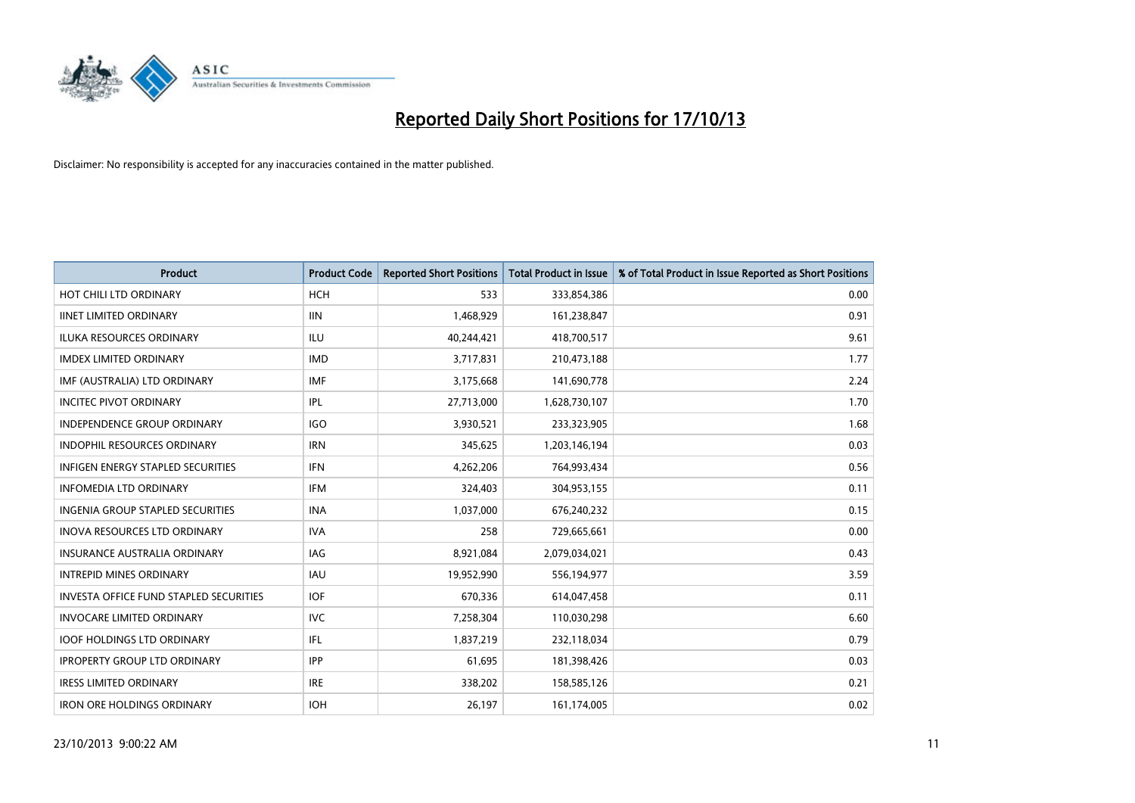

| <b>Product</b>                                | <b>Product Code</b> | <b>Reported Short Positions</b> | <b>Total Product in Issue</b> | % of Total Product in Issue Reported as Short Positions |
|-----------------------------------------------|---------------------|---------------------------------|-------------------------------|---------------------------------------------------------|
| HOT CHILI LTD ORDINARY                        | <b>HCH</b>          | 533                             | 333,854,386                   | 0.00                                                    |
| <b>IINET LIMITED ORDINARY</b>                 | <b>IIN</b>          | 1,468,929                       | 161,238,847                   | 0.91                                                    |
| <b>ILUKA RESOURCES ORDINARY</b>               | ILU                 | 40,244,421                      | 418,700,517                   | 9.61                                                    |
| <b>IMDEX LIMITED ORDINARY</b>                 | <b>IMD</b>          | 3,717,831                       | 210,473,188                   | 1.77                                                    |
| IMF (AUSTRALIA) LTD ORDINARY                  | <b>IMF</b>          | 3,175,668                       | 141,690,778                   | 2.24                                                    |
| <b>INCITEC PIVOT ORDINARY</b>                 | <b>IPL</b>          | 27,713,000                      | 1,628,730,107                 | 1.70                                                    |
| INDEPENDENCE GROUP ORDINARY                   | <b>IGO</b>          | 3,930,521                       | 233,323,905                   | 1.68                                                    |
| <b>INDOPHIL RESOURCES ORDINARY</b>            | <b>IRN</b>          | 345,625                         | 1,203,146,194                 | 0.03                                                    |
| INFIGEN ENERGY STAPLED SECURITIES             | <b>IFN</b>          | 4,262,206                       | 764,993,434                   | 0.56                                                    |
| <b>INFOMEDIA LTD ORDINARY</b>                 | <b>IFM</b>          | 324,403                         | 304,953,155                   | 0.11                                                    |
| INGENIA GROUP STAPLED SECURITIES              | <b>INA</b>          | 1,037,000                       | 676,240,232                   | 0.15                                                    |
| <b>INOVA RESOURCES LTD ORDINARY</b>           | <b>IVA</b>          | 258                             | 729,665,661                   | 0.00                                                    |
| <b>INSURANCE AUSTRALIA ORDINARY</b>           | <b>IAG</b>          | 8,921,084                       | 2,079,034,021                 | 0.43                                                    |
| <b>INTREPID MINES ORDINARY</b>                | <b>IAU</b>          | 19,952,990                      | 556,194,977                   | 3.59                                                    |
| <b>INVESTA OFFICE FUND STAPLED SECURITIES</b> | <b>IOF</b>          | 670,336                         | 614,047,458                   | 0.11                                                    |
| <b>INVOCARE LIMITED ORDINARY</b>              | <b>IVC</b>          | 7,258,304                       | 110,030,298                   | 6.60                                                    |
| <b>IOOF HOLDINGS LTD ORDINARY</b>             | IFL                 | 1,837,219                       | 232,118,034                   | 0.79                                                    |
| <b>IPROPERTY GROUP LTD ORDINARY</b>           | <b>IPP</b>          | 61,695                          | 181,398,426                   | 0.03                                                    |
| <b>IRESS LIMITED ORDINARY</b>                 | <b>IRE</b>          | 338,202                         | 158,585,126                   | 0.21                                                    |
| <b>IRON ORE HOLDINGS ORDINARY</b>             | <b>IOH</b>          | 26,197                          | 161,174,005                   | 0.02                                                    |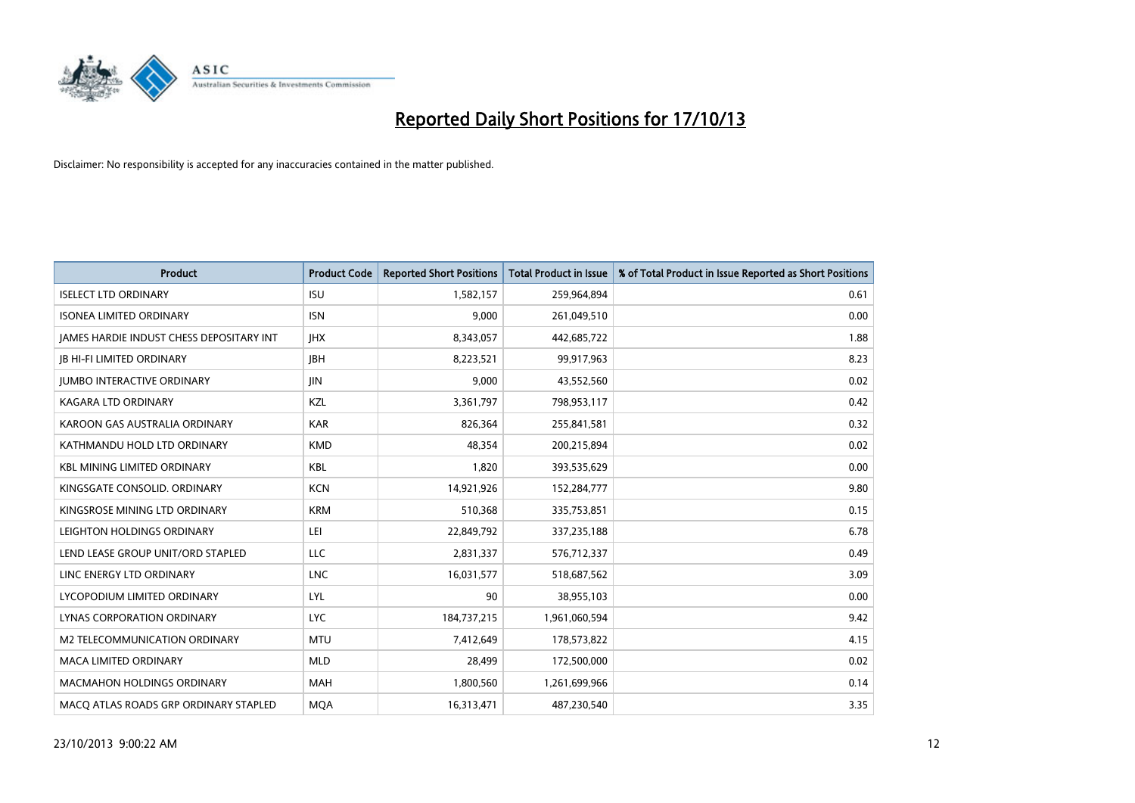

| <b>Product</b>                           | <b>Product Code</b> | <b>Reported Short Positions</b> | <b>Total Product in Issue</b> | % of Total Product in Issue Reported as Short Positions |
|------------------------------------------|---------------------|---------------------------------|-------------------------------|---------------------------------------------------------|
| <b>ISELECT LTD ORDINARY</b>              | <b>ISU</b>          | 1,582,157                       | 259,964,894                   | 0.61                                                    |
| <b>ISONEA LIMITED ORDINARY</b>           | <b>ISN</b>          | 9,000                           | 261,049,510                   | 0.00                                                    |
| JAMES HARDIE INDUST CHESS DEPOSITARY INT | <b>IHX</b>          | 8,343,057                       | 442,685,722                   | 1.88                                                    |
| <b>JB HI-FI LIMITED ORDINARY</b>         | <b>JBH</b>          | 8,223,521                       | 99,917,963                    | 8.23                                                    |
| <b>IUMBO INTERACTIVE ORDINARY</b>        | <b>JIN</b>          | 9,000                           | 43,552,560                    | 0.02                                                    |
| <b>KAGARA LTD ORDINARY</b>               | KZL                 | 3,361,797                       | 798,953,117                   | 0.42                                                    |
| KAROON GAS AUSTRALIA ORDINARY            | <b>KAR</b>          | 826,364                         | 255,841,581                   | 0.32                                                    |
| KATHMANDU HOLD LTD ORDINARY              | <b>KMD</b>          | 48,354                          | 200,215,894                   | 0.02                                                    |
| <b>KBL MINING LIMITED ORDINARY</b>       | KBL                 | 1,820                           | 393,535,629                   | 0.00                                                    |
| KINGSGATE CONSOLID. ORDINARY             | <b>KCN</b>          | 14,921,926                      | 152,284,777                   | 9.80                                                    |
| KINGSROSE MINING LTD ORDINARY            | <b>KRM</b>          | 510,368                         | 335,753,851                   | 0.15                                                    |
| LEIGHTON HOLDINGS ORDINARY               | LEI                 | 22,849,792                      | 337,235,188                   | 6.78                                                    |
| LEND LEASE GROUP UNIT/ORD STAPLED        | <b>LLC</b>          | 2,831,337                       | 576,712,337                   | 0.49                                                    |
| LINC ENERGY LTD ORDINARY                 | <b>LNC</b>          | 16,031,577                      | 518,687,562                   | 3.09                                                    |
| LYCOPODIUM LIMITED ORDINARY              | LYL                 | 90                              | 38,955,103                    | 0.00                                                    |
| LYNAS CORPORATION ORDINARY               | <b>LYC</b>          | 184,737,215                     | 1,961,060,594                 | 9.42                                                    |
| M2 TELECOMMUNICATION ORDINARY            | <b>MTU</b>          | 7,412,649                       | 178,573,822                   | 4.15                                                    |
| <b>MACA LIMITED ORDINARY</b>             | <b>MLD</b>          | 28,499                          | 172,500,000                   | 0.02                                                    |
| <b>MACMAHON HOLDINGS ORDINARY</b>        | <b>MAH</b>          | 1,800,560                       | 1,261,699,966                 | 0.14                                                    |
| MACO ATLAS ROADS GRP ORDINARY STAPLED    | <b>MQA</b>          | 16,313,471                      | 487,230,540                   | 3.35                                                    |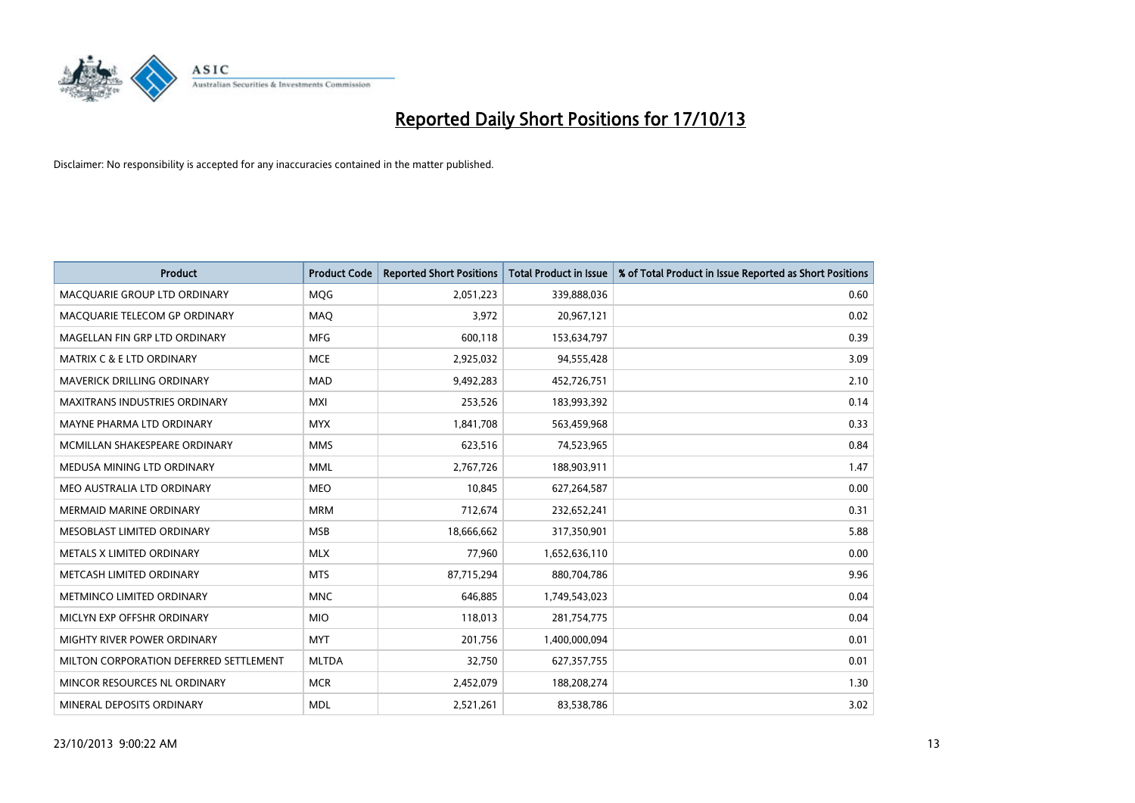

| <b>Product</b>                         | <b>Product Code</b> | <b>Reported Short Positions</b> | <b>Total Product in Issue</b> | % of Total Product in Issue Reported as Short Positions |
|----------------------------------------|---------------------|---------------------------------|-------------------------------|---------------------------------------------------------|
| MACQUARIE GROUP LTD ORDINARY           | <b>MOG</b>          | 2,051,223                       | 339,888,036                   | 0.60                                                    |
| MACQUARIE TELECOM GP ORDINARY          | MAQ                 | 3,972                           | 20,967,121                    | 0.02                                                    |
| MAGELLAN FIN GRP LTD ORDINARY          | <b>MFG</b>          | 600,118                         | 153,634,797                   | 0.39                                                    |
| <b>MATRIX C &amp; E LTD ORDINARY</b>   | <b>MCE</b>          | 2,925,032                       | 94,555,428                    | 3.09                                                    |
| MAVERICK DRILLING ORDINARY             | <b>MAD</b>          | 9,492,283                       | 452,726,751                   | 2.10                                                    |
| <b>MAXITRANS INDUSTRIES ORDINARY</b>   | <b>MXI</b>          | 253,526                         | 183,993,392                   | 0.14                                                    |
| MAYNE PHARMA LTD ORDINARY              | <b>MYX</b>          | 1,841,708                       | 563,459,968                   | 0.33                                                    |
| MCMILLAN SHAKESPEARE ORDINARY          | <b>MMS</b>          | 623,516                         | 74,523,965                    | 0.84                                                    |
| MEDUSA MINING LTD ORDINARY             | <b>MML</b>          | 2,767,726                       | 188,903,911                   | 1.47                                                    |
| MEO AUSTRALIA LTD ORDINARY             | <b>MEO</b>          | 10,845                          | 627,264,587                   | 0.00                                                    |
| <b>MERMAID MARINE ORDINARY</b>         | <b>MRM</b>          | 712,674                         | 232,652,241                   | 0.31                                                    |
| MESOBLAST LIMITED ORDINARY             | <b>MSB</b>          | 18,666,662                      | 317,350,901                   | 5.88                                                    |
| METALS X LIMITED ORDINARY              | <b>MLX</b>          | 77,960                          | 1,652,636,110                 | 0.00                                                    |
| METCASH LIMITED ORDINARY               | <b>MTS</b>          | 87,715,294                      | 880,704,786                   | 9.96                                                    |
| METMINCO LIMITED ORDINARY              | <b>MNC</b>          | 646,885                         | 1,749,543,023                 | 0.04                                                    |
| MICLYN EXP OFFSHR ORDINARY             | <b>MIO</b>          | 118,013                         | 281,754,775                   | 0.04                                                    |
| MIGHTY RIVER POWER ORDINARY            | <b>MYT</b>          | 201,756                         | 1,400,000,094                 | 0.01                                                    |
| MILTON CORPORATION DEFERRED SETTLEMENT | <b>MLTDA</b>        | 32,750                          | 627,357,755                   | 0.01                                                    |
| MINCOR RESOURCES NL ORDINARY           | <b>MCR</b>          | 2,452,079                       | 188,208,274                   | 1.30                                                    |
| MINERAL DEPOSITS ORDINARY              | <b>MDL</b>          | 2,521,261                       | 83,538,786                    | 3.02                                                    |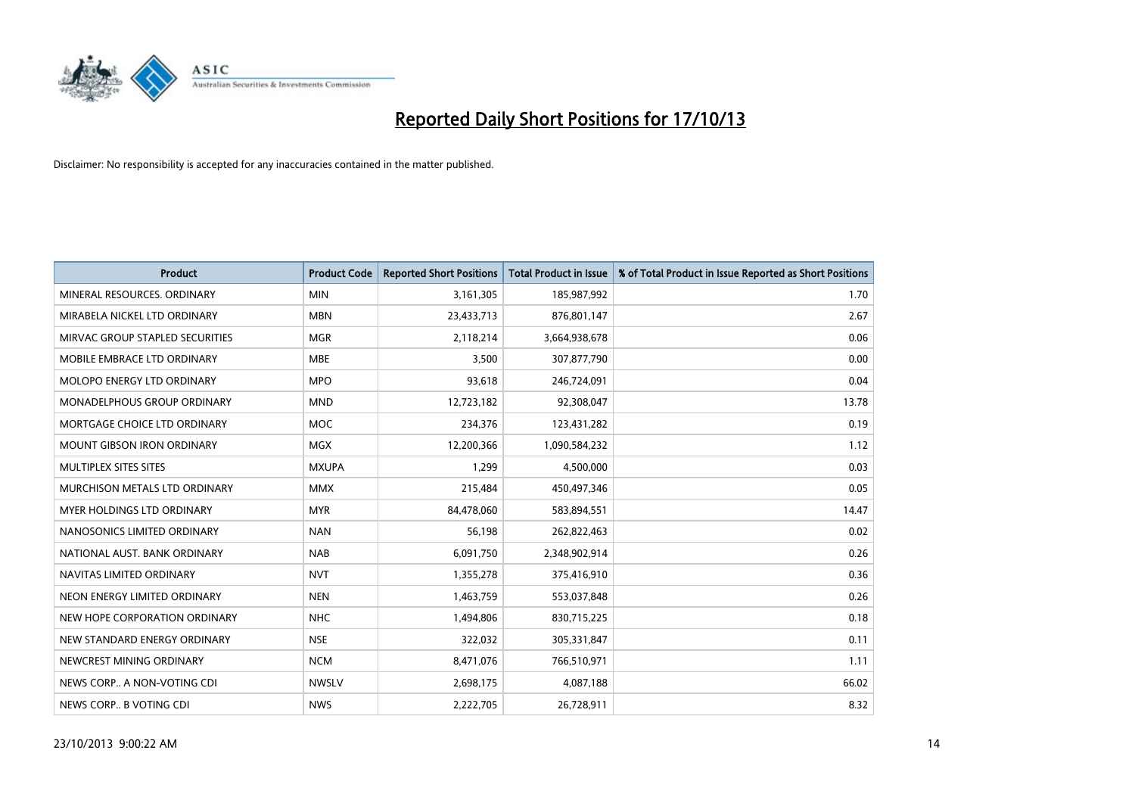

| <b>Product</b>                    | <b>Product Code</b> | <b>Reported Short Positions</b> | <b>Total Product in Issue</b> | % of Total Product in Issue Reported as Short Positions |
|-----------------------------------|---------------------|---------------------------------|-------------------------------|---------------------------------------------------------|
| MINERAL RESOURCES, ORDINARY       | <b>MIN</b>          | 3,161,305                       | 185,987,992                   | 1.70                                                    |
| MIRABELA NICKEL LTD ORDINARY      | <b>MBN</b>          | 23,433,713                      | 876,801,147                   | 2.67                                                    |
| MIRVAC GROUP STAPLED SECURITIES   | <b>MGR</b>          | 2,118,214                       | 3,664,938,678                 | 0.06                                                    |
| MOBILE EMBRACE LTD ORDINARY       | <b>MBE</b>          | 3,500                           | 307,877,790                   | 0.00                                                    |
| MOLOPO ENERGY LTD ORDINARY        | <b>MPO</b>          | 93,618                          | 246,724,091                   | 0.04                                                    |
| MONADELPHOUS GROUP ORDINARY       | <b>MND</b>          | 12,723,182                      | 92,308,047                    | 13.78                                                   |
| MORTGAGE CHOICE LTD ORDINARY      | <b>MOC</b>          | 234,376                         | 123,431,282                   | 0.19                                                    |
| <b>MOUNT GIBSON IRON ORDINARY</b> | <b>MGX</b>          | 12,200,366                      | 1,090,584,232                 | 1.12                                                    |
| MULTIPLEX SITES SITES             | <b>MXUPA</b>        | 1,299                           | 4,500,000                     | 0.03                                                    |
| MURCHISON METALS LTD ORDINARY     | <b>MMX</b>          | 215,484                         | 450,497,346                   | 0.05                                                    |
| MYER HOLDINGS LTD ORDINARY        | <b>MYR</b>          | 84,478,060                      | 583,894,551                   | 14.47                                                   |
| NANOSONICS LIMITED ORDINARY       | <b>NAN</b>          | 56,198                          | 262,822,463                   | 0.02                                                    |
| NATIONAL AUST, BANK ORDINARY      | <b>NAB</b>          | 6,091,750                       | 2,348,902,914                 | 0.26                                                    |
| NAVITAS LIMITED ORDINARY          | <b>NVT</b>          | 1,355,278                       | 375,416,910                   | 0.36                                                    |
| NEON ENERGY LIMITED ORDINARY      | <b>NEN</b>          | 1,463,759                       | 553,037,848                   | 0.26                                                    |
| NEW HOPE CORPORATION ORDINARY     | <b>NHC</b>          | 1,494,806                       | 830,715,225                   | 0.18                                                    |
| NEW STANDARD ENERGY ORDINARY      | <b>NSE</b>          | 322,032                         | 305,331,847                   | 0.11                                                    |
| NEWCREST MINING ORDINARY          | <b>NCM</b>          | 8,471,076                       | 766,510,971                   | 1.11                                                    |
| NEWS CORP A NON-VOTING CDI        | <b>NWSLV</b>        | 2,698,175                       | 4,087,188                     | 66.02                                                   |
| NEWS CORP B VOTING CDI            | <b>NWS</b>          | 2,222,705                       | 26,728,911                    | 8.32                                                    |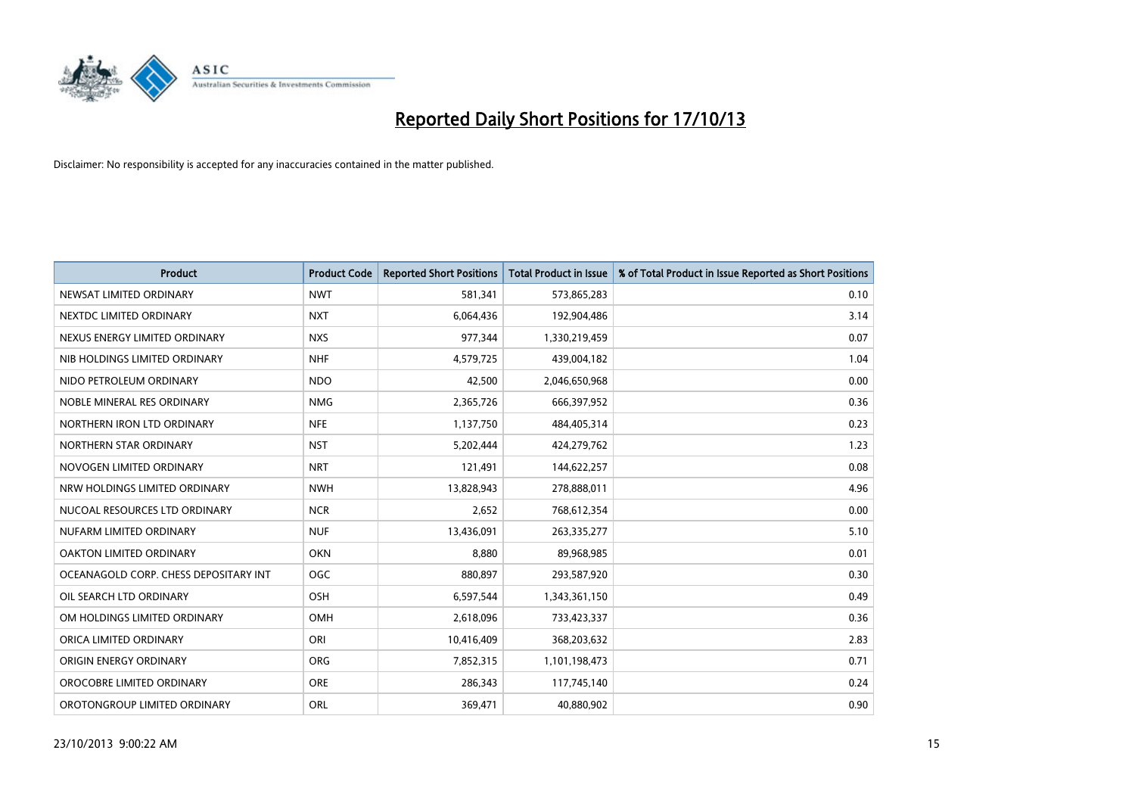

| <b>Product</b>                        | <b>Product Code</b> | <b>Reported Short Positions</b> | <b>Total Product in Issue</b> | % of Total Product in Issue Reported as Short Positions |
|---------------------------------------|---------------------|---------------------------------|-------------------------------|---------------------------------------------------------|
| NEWSAT LIMITED ORDINARY               | <b>NWT</b>          | 581,341                         | 573,865,283                   | 0.10                                                    |
| NEXTDC LIMITED ORDINARY               | <b>NXT</b>          | 6,064,436                       | 192,904,486                   | 3.14                                                    |
| NEXUS ENERGY LIMITED ORDINARY         | <b>NXS</b>          | 977,344                         | 1,330,219,459                 | 0.07                                                    |
| NIB HOLDINGS LIMITED ORDINARY         | <b>NHF</b>          | 4,579,725                       | 439,004,182                   | 1.04                                                    |
| NIDO PETROLEUM ORDINARY               | <b>NDO</b>          | 42,500                          | 2,046,650,968                 | 0.00                                                    |
| NOBLE MINERAL RES ORDINARY            | <b>NMG</b>          | 2,365,726                       | 666,397,952                   | 0.36                                                    |
| NORTHERN IRON LTD ORDINARY            | <b>NFE</b>          | 1,137,750                       | 484,405,314                   | 0.23                                                    |
| NORTHERN STAR ORDINARY                | <b>NST</b>          | 5,202,444                       | 424,279,762                   | 1.23                                                    |
| NOVOGEN LIMITED ORDINARY              | <b>NRT</b>          | 121,491                         | 144,622,257                   | 0.08                                                    |
| NRW HOLDINGS LIMITED ORDINARY         | <b>NWH</b>          | 13,828,943                      | 278,888,011                   | 4.96                                                    |
| NUCOAL RESOURCES LTD ORDINARY         | <b>NCR</b>          | 2,652                           | 768,612,354                   | 0.00                                                    |
| NUFARM LIMITED ORDINARY               | <b>NUF</b>          | 13,436,091                      | 263,335,277                   | 5.10                                                    |
| OAKTON LIMITED ORDINARY               | <b>OKN</b>          | 8,880                           | 89,968,985                    | 0.01                                                    |
| OCEANAGOLD CORP. CHESS DEPOSITARY INT | <b>OGC</b>          | 880,897                         | 293,587,920                   | 0.30                                                    |
| OIL SEARCH LTD ORDINARY               | OSH                 | 6,597,544                       | 1,343,361,150                 | 0.49                                                    |
| OM HOLDINGS LIMITED ORDINARY          | OMH                 | 2,618,096                       | 733,423,337                   | 0.36                                                    |
| ORICA LIMITED ORDINARY                | ORI                 | 10,416,409                      | 368,203,632                   | 2.83                                                    |
| ORIGIN ENERGY ORDINARY                | <b>ORG</b>          | 7,852,315                       | 1,101,198,473                 | 0.71                                                    |
| OROCOBRE LIMITED ORDINARY             | <b>ORE</b>          | 286,343                         | 117,745,140                   | 0.24                                                    |
| OROTONGROUP LIMITED ORDINARY          | ORL                 | 369,471                         | 40,880,902                    | 0.90                                                    |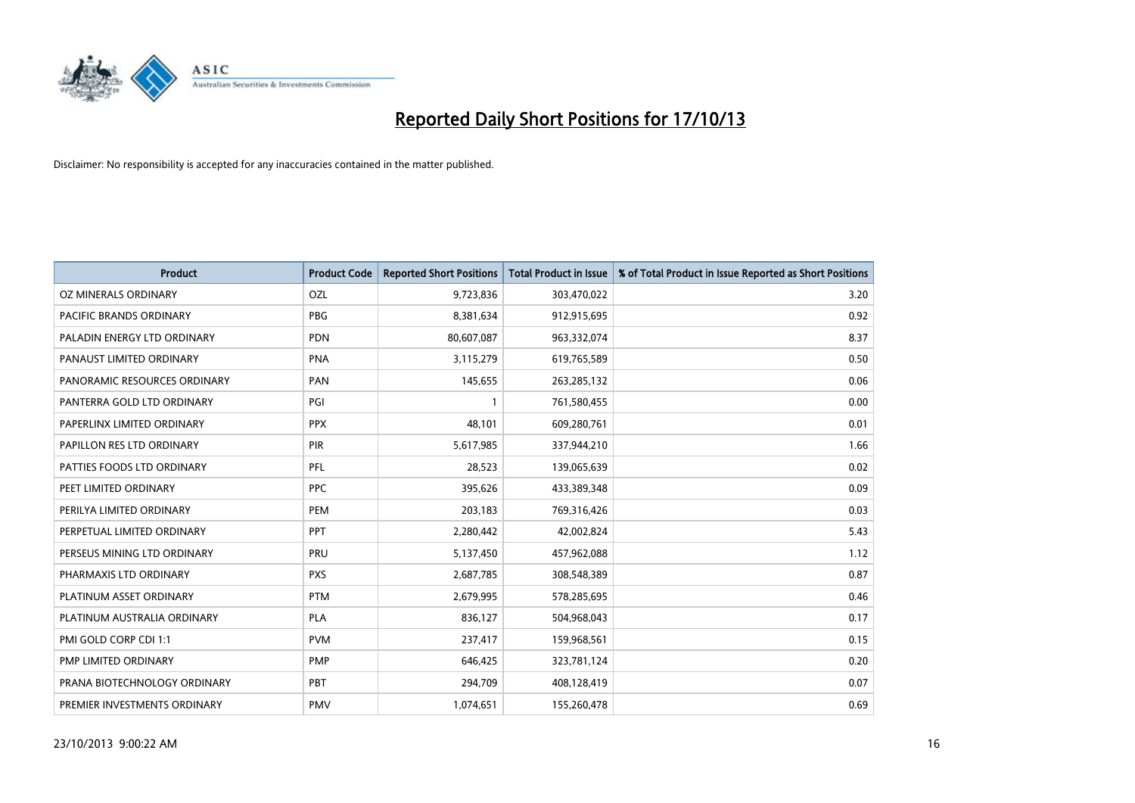

| <b>Product</b>               | <b>Product Code</b> | <b>Reported Short Positions</b> | <b>Total Product in Issue</b> | % of Total Product in Issue Reported as Short Positions |
|------------------------------|---------------------|---------------------------------|-------------------------------|---------------------------------------------------------|
| OZ MINERALS ORDINARY         | OZL                 | 9,723,836                       | 303,470,022                   | 3.20                                                    |
| PACIFIC BRANDS ORDINARY      | <b>PBG</b>          | 8,381,634                       | 912,915,695                   | 0.92                                                    |
| PALADIN ENERGY LTD ORDINARY  | <b>PDN</b>          | 80,607,087                      | 963,332,074                   | 8.37                                                    |
| PANAUST LIMITED ORDINARY     | <b>PNA</b>          | 3,115,279                       | 619,765,589                   | 0.50                                                    |
| PANORAMIC RESOURCES ORDINARY | PAN                 | 145,655                         | 263,285,132                   | 0.06                                                    |
| PANTERRA GOLD LTD ORDINARY   | PGI                 | $\mathbf{1}$                    | 761,580,455                   | 0.00                                                    |
| PAPERLINX LIMITED ORDINARY   | <b>PPX</b>          | 48,101                          | 609,280,761                   | 0.01                                                    |
| PAPILLON RES LTD ORDINARY    | PIR                 | 5,617,985                       | 337,944,210                   | 1.66                                                    |
| PATTIES FOODS LTD ORDINARY   | PFL                 | 28,523                          | 139,065,639                   | 0.02                                                    |
| PEET LIMITED ORDINARY        | <b>PPC</b>          | 395,626                         | 433,389,348                   | 0.09                                                    |
| PERILYA LIMITED ORDINARY     | PEM                 | 203,183                         | 769,316,426                   | 0.03                                                    |
| PERPETUAL LIMITED ORDINARY   | PPT                 | 2,280,442                       | 42,002,824                    | 5.43                                                    |
| PERSEUS MINING LTD ORDINARY  | PRU                 | 5,137,450                       | 457,962,088                   | 1.12                                                    |
| PHARMAXIS LTD ORDINARY       | <b>PXS</b>          | 2,687,785                       | 308,548,389                   | 0.87                                                    |
| PLATINUM ASSET ORDINARY      | <b>PTM</b>          | 2,679,995                       | 578,285,695                   | 0.46                                                    |
| PLATINUM AUSTRALIA ORDINARY  | <b>PLA</b>          | 836,127                         | 504,968,043                   | 0.17                                                    |
| PMI GOLD CORP CDI 1:1        | <b>PVM</b>          | 237,417                         | 159,968,561                   | 0.15                                                    |
| PMP LIMITED ORDINARY         | <b>PMP</b>          | 646,425                         | 323,781,124                   | 0.20                                                    |
| PRANA BIOTECHNOLOGY ORDINARY | <b>PBT</b>          | 294,709                         | 408,128,419                   | 0.07                                                    |
| PREMIER INVESTMENTS ORDINARY | <b>PMV</b>          | 1,074,651                       | 155,260,478                   | 0.69                                                    |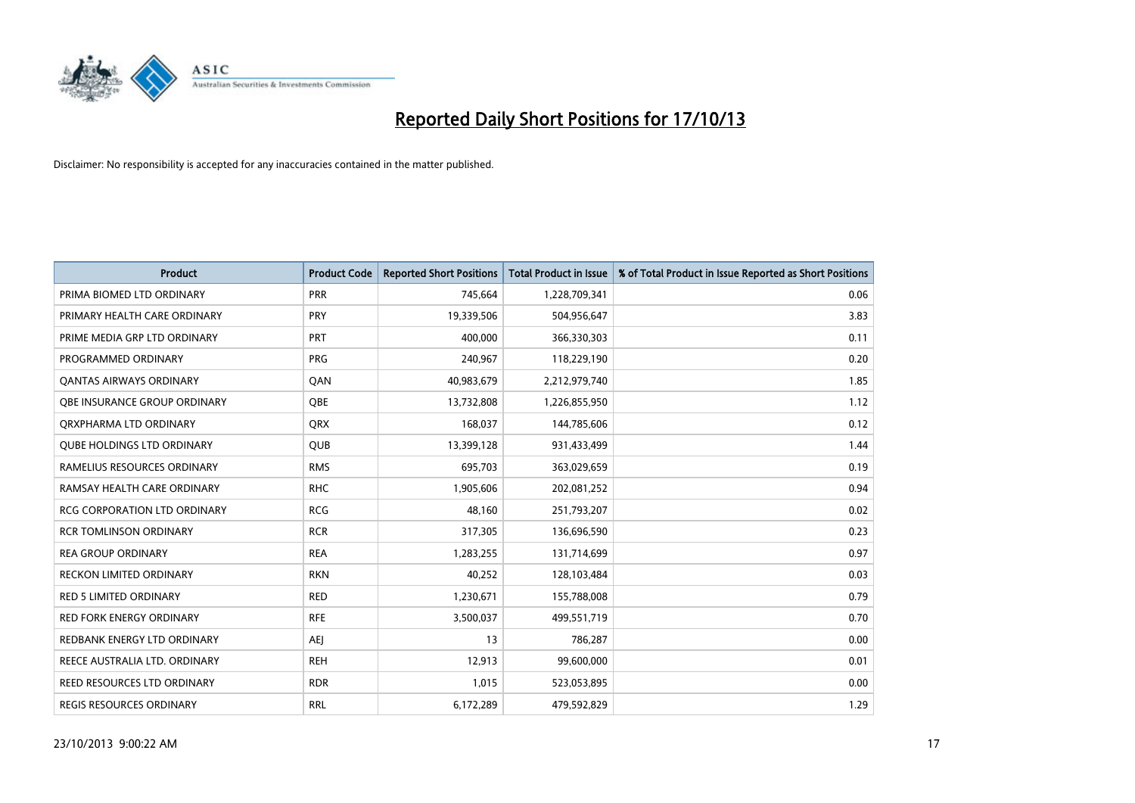

| <b>Product</b>                      | <b>Product Code</b> | <b>Reported Short Positions</b> | <b>Total Product in Issue</b> | % of Total Product in Issue Reported as Short Positions |
|-------------------------------------|---------------------|---------------------------------|-------------------------------|---------------------------------------------------------|
| PRIMA BIOMED LTD ORDINARY           | <b>PRR</b>          | 745,664                         | 1,228,709,341                 | 0.06                                                    |
| PRIMARY HEALTH CARE ORDINARY        | <b>PRY</b>          | 19,339,506                      | 504,956,647                   | 3.83                                                    |
| PRIME MEDIA GRP LTD ORDINARY        | <b>PRT</b>          | 400,000                         | 366,330,303                   | 0.11                                                    |
| PROGRAMMED ORDINARY                 | PRG                 | 240,967                         | 118,229,190                   | 0.20                                                    |
| OANTAS AIRWAYS ORDINARY             | QAN                 | 40,983,679                      | 2,212,979,740                 | 1.85                                                    |
| OBE INSURANCE GROUP ORDINARY        | <b>OBE</b>          | 13,732,808                      | 1,226,855,950                 | 1.12                                                    |
| ORXPHARMA LTD ORDINARY              | <b>QRX</b>          | 168,037                         | 144,785,606                   | 0.12                                                    |
| <b>QUBE HOLDINGS LTD ORDINARY</b>   | <b>QUB</b>          | 13,399,128                      | 931,433,499                   | 1.44                                                    |
| RAMELIUS RESOURCES ORDINARY         | <b>RMS</b>          | 695,703                         | 363,029,659                   | 0.19                                                    |
| RAMSAY HEALTH CARE ORDINARY         | <b>RHC</b>          | 1,905,606                       | 202,081,252                   | 0.94                                                    |
| <b>RCG CORPORATION LTD ORDINARY</b> | <b>RCG</b>          | 48,160                          | 251,793,207                   | 0.02                                                    |
| <b>RCR TOMLINSON ORDINARY</b>       | <b>RCR</b>          | 317,305                         | 136,696,590                   | 0.23                                                    |
| <b>REA GROUP ORDINARY</b>           | <b>REA</b>          | 1,283,255                       | 131,714,699                   | 0.97                                                    |
| <b>RECKON LIMITED ORDINARY</b>      | <b>RKN</b>          | 40,252                          | 128,103,484                   | 0.03                                                    |
| <b>RED 5 LIMITED ORDINARY</b>       | <b>RED</b>          | 1,230,671                       | 155,788,008                   | 0.79                                                    |
| RED FORK ENERGY ORDINARY            | <b>RFE</b>          | 3,500,037                       | 499,551,719                   | 0.70                                                    |
| REDBANK ENERGY LTD ORDINARY         | <b>AEJ</b>          | 13                              | 786,287                       | 0.00                                                    |
| REECE AUSTRALIA LTD. ORDINARY       | <b>REH</b>          | 12,913                          | 99,600,000                    | 0.01                                                    |
| REED RESOURCES LTD ORDINARY         | <b>RDR</b>          | 1,015                           | 523,053,895                   | 0.00                                                    |
| <b>REGIS RESOURCES ORDINARY</b>     | <b>RRL</b>          | 6,172,289                       | 479.592.829                   | 1.29                                                    |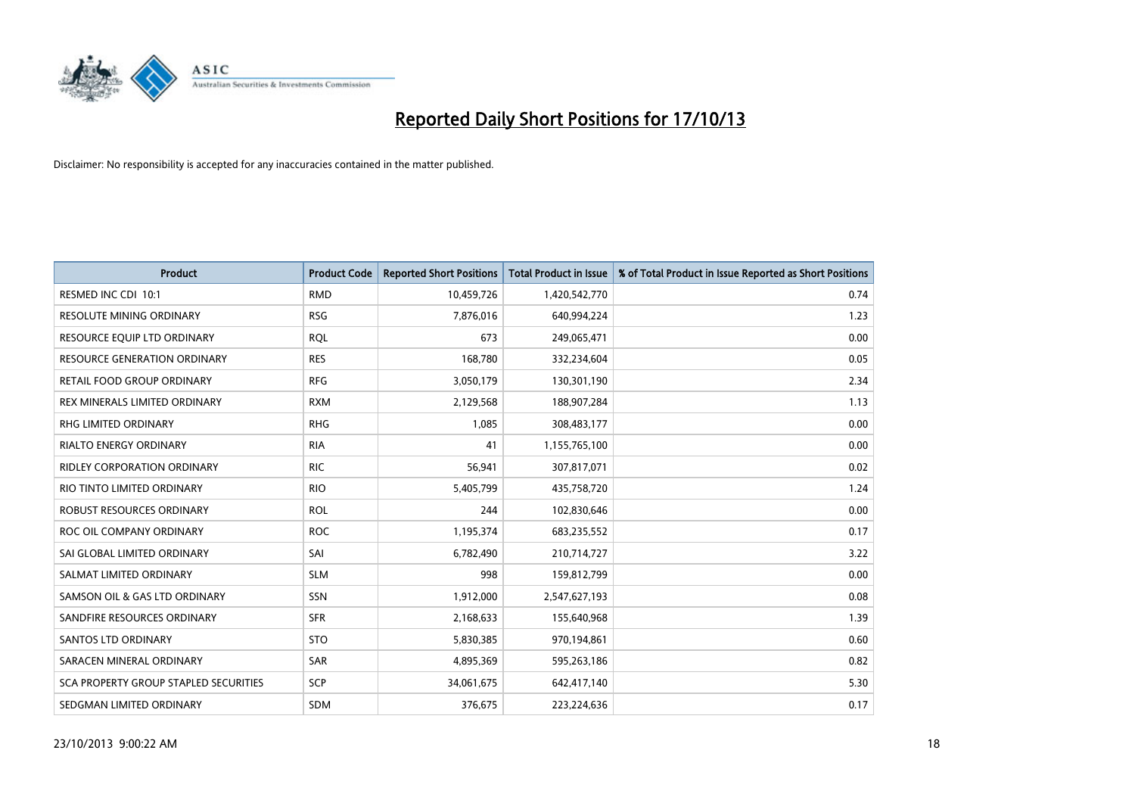

| <b>Product</b>                        | <b>Product Code</b> | <b>Reported Short Positions</b> | <b>Total Product in Issue</b> | % of Total Product in Issue Reported as Short Positions |
|---------------------------------------|---------------------|---------------------------------|-------------------------------|---------------------------------------------------------|
| RESMED INC CDI 10:1                   | <b>RMD</b>          | 10,459,726                      | 1,420,542,770                 | 0.74                                                    |
| RESOLUTE MINING ORDINARY              | <b>RSG</b>          | 7,876,016                       | 640,994,224                   | 1.23                                                    |
| RESOURCE EQUIP LTD ORDINARY           | <b>RQL</b>          | 673                             | 249,065,471                   | 0.00                                                    |
| RESOURCE GENERATION ORDINARY          | <b>RES</b>          | 168,780                         | 332,234,604                   | 0.05                                                    |
| <b>RETAIL FOOD GROUP ORDINARY</b>     | <b>RFG</b>          | 3,050,179                       | 130,301,190                   | 2.34                                                    |
| REX MINERALS LIMITED ORDINARY         | <b>RXM</b>          | 2,129,568                       | 188,907,284                   | 1.13                                                    |
| <b>RHG LIMITED ORDINARY</b>           | <b>RHG</b>          | 1,085                           | 308,483,177                   | 0.00                                                    |
| <b>RIALTO ENERGY ORDINARY</b>         | <b>RIA</b>          | 41                              | 1,155,765,100                 | 0.00                                                    |
| <b>RIDLEY CORPORATION ORDINARY</b>    | <b>RIC</b>          | 56,941                          | 307,817,071                   | 0.02                                                    |
| RIO TINTO LIMITED ORDINARY            | <b>RIO</b>          | 5,405,799                       | 435,758,720                   | 1.24                                                    |
| ROBUST RESOURCES ORDINARY             | <b>ROL</b>          | 244                             | 102,830,646                   | 0.00                                                    |
| ROC OIL COMPANY ORDINARY              | <b>ROC</b>          | 1,195,374                       | 683,235,552                   | 0.17                                                    |
| SAI GLOBAL LIMITED ORDINARY           | SAI                 | 6,782,490                       | 210,714,727                   | 3.22                                                    |
| SALMAT LIMITED ORDINARY               | <b>SLM</b>          | 998                             | 159,812,799                   | 0.00                                                    |
| SAMSON OIL & GAS LTD ORDINARY         | SSN                 | 1,912,000                       | 2,547,627,193                 | 0.08                                                    |
| SANDFIRE RESOURCES ORDINARY           | <b>SFR</b>          | 2,168,633                       | 155,640,968                   | 1.39                                                    |
| <b>SANTOS LTD ORDINARY</b>            | <b>STO</b>          | 5,830,385                       | 970,194,861                   | 0.60                                                    |
| SARACEN MINERAL ORDINARY              | <b>SAR</b>          | 4,895,369                       | 595,263,186                   | 0.82                                                    |
| SCA PROPERTY GROUP STAPLED SECURITIES | <b>SCP</b>          | 34,061,675                      | 642,417,140                   | 5.30                                                    |
| SEDGMAN LIMITED ORDINARY              | <b>SDM</b>          | 376,675                         | 223,224,636                   | 0.17                                                    |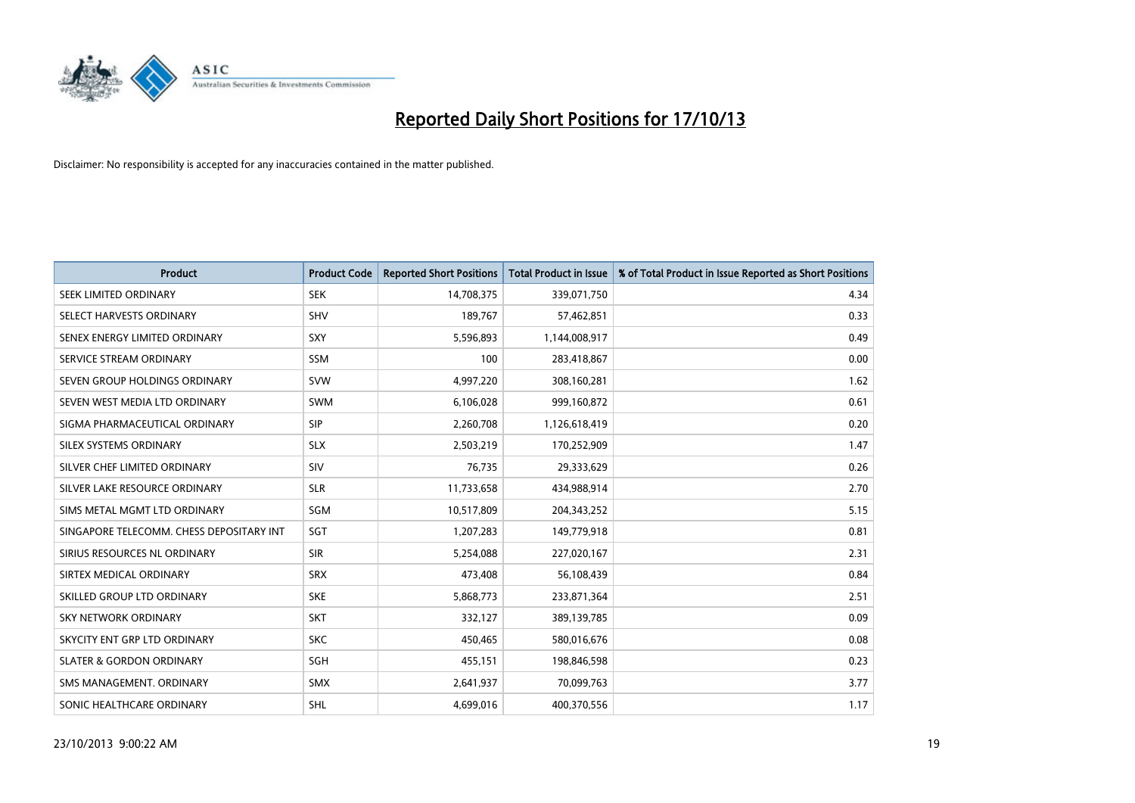

| <b>Product</b>                           | <b>Product Code</b> | <b>Reported Short Positions</b> | <b>Total Product in Issue</b> | % of Total Product in Issue Reported as Short Positions |
|------------------------------------------|---------------------|---------------------------------|-------------------------------|---------------------------------------------------------|
| SEEK LIMITED ORDINARY                    | <b>SEK</b>          | 14,708,375                      | 339,071,750                   | 4.34                                                    |
| SELECT HARVESTS ORDINARY                 | <b>SHV</b>          | 189,767                         | 57,462,851                    | 0.33                                                    |
| SENEX ENERGY LIMITED ORDINARY            | <b>SXY</b>          | 5,596,893                       | 1,144,008,917                 | 0.49                                                    |
| SERVICE STREAM ORDINARY                  | <b>SSM</b>          | 100                             | 283,418,867                   | 0.00                                                    |
| SEVEN GROUP HOLDINGS ORDINARY            | <b>SVW</b>          | 4,997,220                       | 308,160,281                   | 1.62                                                    |
| SEVEN WEST MEDIA LTD ORDINARY            | <b>SWM</b>          | 6,106,028                       | 999,160,872                   | 0.61                                                    |
| SIGMA PHARMACEUTICAL ORDINARY            | <b>SIP</b>          | 2,260,708                       | 1,126,618,419                 | 0.20                                                    |
| SILEX SYSTEMS ORDINARY                   | <b>SLX</b>          | 2,503,219                       | 170,252,909                   | 1.47                                                    |
| SILVER CHEF LIMITED ORDINARY             | SIV                 | 76,735                          | 29,333,629                    | 0.26                                                    |
| SILVER LAKE RESOURCE ORDINARY            | <b>SLR</b>          | 11,733,658                      | 434,988,914                   | 2.70                                                    |
| SIMS METAL MGMT LTD ORDINARY             | SGM                 | 10,517,809                      | 204,343,252                   | 5.15                                                    |
| SINGAPORE TELECOMM. CHESS DEPOSITARY INT | <b>SGT</b>          | 1,207,283                       | 149,779,918                   | 0.81                                                    |
| SIRIUS RESOURCES NL ORDINARY             | <b>SIR</b>          | 5,254,088                       | 227,020,167                   | 2.31                                                    |
| SIRTEX MEDICAL ORDINARY                  | <b>SRX</b>          | 473,408                         | 56,108,439                    | 0.84                                                    |
| SKILLED GROUP LTD ORDINARY               | <b>SKE</b>          | 5,868,773                       | 233,871,364                   | 2.51                                                    |
| SKY NETWORK ORDINARY                     | <b>SKT</b>          | 332,127                         | 389,139,785                   | 0.09                                                    |
| SKYCITY ENT GRP LTD ORDINARY             | <b>SKC</b>          | 450,465                         | 580,016,676                   | 0.08                                                    |
| <b>SLATER &amp; GORDON ORDINARY</b>      | SGH                 | 455,151                         | 198,846,598                   | 0.23                                                    |
| SMS MANAGEMENT, ORDINARY                 | <b>SMX</b>          | 2,641,937                       | 70,099,763                    | 3.77                                                    |
| SONIC HEALTHCARE ORDINARY                | <b>SHL</b>          | 4,699,016                       | 400,370,556                   | 1.17                                                    |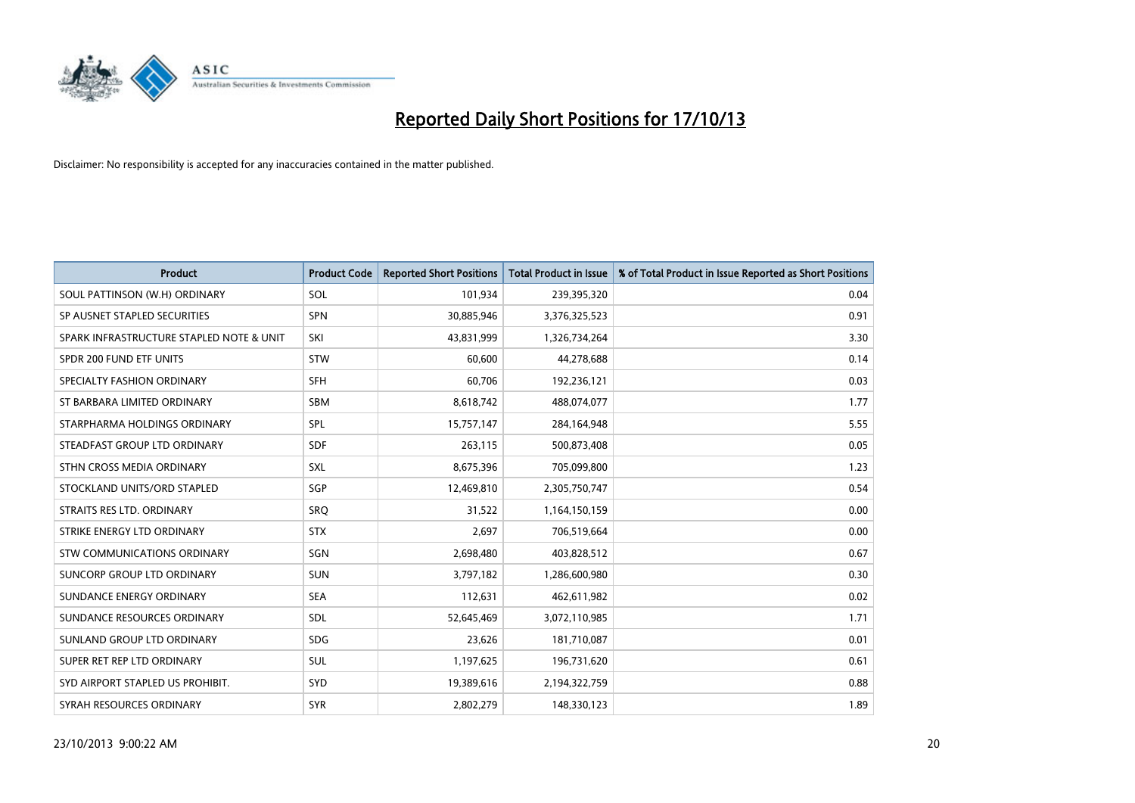

| <b>Product</b>                           | <b>Product Code</b> | <b>Reported Short Positions</b> | <b>Total Product in Issue</b> | % of Total Product in Issue Reported as Short Positions |
|------------------------------------------|---------------------|---------------------------------|-------------------------------|---------------------------------------------------------|
| SOUL PATTINSON (W.H) ORDINARY            | SOL                 | 101,934                         | 239,395,320                   | 0.04                                                    |
| SP AUSNET STAPLED SECURITIES             | <b>SPN</b>          | 30,885,946                      | 3,376,325,523                 | 0.91                                                    |
| SPARK INFRASTRUCTURE STAPLED NOTE & UNIT | SKI                 | 43,831,999                      | 1,326,734,264                 | 3.30                                                    |
| SPDR 200 FUND ETF UNITS                  | <b>STW</b>          | 60,600                          | 44,278,688                    | 0.14                                                    |
| SPECIALTY FASHION ORDINARY               | <b>SFH</b>          | 60,706                          | 192,236,121                   | 0.03                                                    |
| ST BARBARA LIMITED ORDINARY              | <b>SBM</b>          | 8,618,742                       | 488,074,077                   | 1.77                                                    |
| STARPHARMA HOLDINGS ORDINARY             | SPL                 | 15,757,147                      | 284,164,948                   | 5.55                                                    |
| STEADFAST GROUP LTD ORDINARY             | <b>SDF</b>          | 263,115                         | 500,873,408                   | 0.05                                                    |
| STHN CROSS MEDIA ORDINARY                | <b>SXL</b>          | 8,675,396                       | 705,099,800                   | 1.23                                                    |
| STOCKLAND UNITS/ORD STAPLED              | SGP                 | 12,469,810                      | 2,305,750,747                 | 0.54                                                    |
| STRAITS RES LTD. ORDINARY                | SRO                 | 31,522                          | 1,164,150,159                 | 0.00                                                    |
| STRIKE ENERGY LTD ORDINARY               | <b>STX</b>          | 2,697                           | 706,519,664                   | 0.00                                                    |
| <b>STW COMMUNICATIONS ORDINARY</b>       | SGN                 | 2,698,480                       | 403,828,512                   | 0.67                                                    |
| <b>SUNCORP GROUP LTD ORDINARY</b>        | <b>SUN</b>          | 3,797,182                       | 1,286,600,980                 | 0.30                                                    |
| SUNDANCE ENERGY ORDINARY                 | <b>SEA</b>          | 112,631                         | 462,611,982                   | 0.02                                                    |
| SUNDANCE RESOURCES ORDINARY              | SDL                 | 52,645,469                      | 3,072,110,985                 | 1.71                                                    |
| SUNLAND GROUP LTD ORDINARY               | <b>SDG</b>          | 23,626                          | 181,710,087                   | 0.01                                                    |
| SUPER RET REP LTD ORDINARY               | <b>SUL</b>          | 1,197,625                       | 196,731,620                   | 0.61                                                    |
| SYD AIRPORT STAPLED US PROHIBIT.         | SYD                 | 19,389,616                      | 2,194,322,759                 | 0.88                                                    |
| SYRAH RESOURCES ORDINARY                 | <b>SYR</b>          | 2,802,279                       | 148,330,123                   | 1.89                                                    |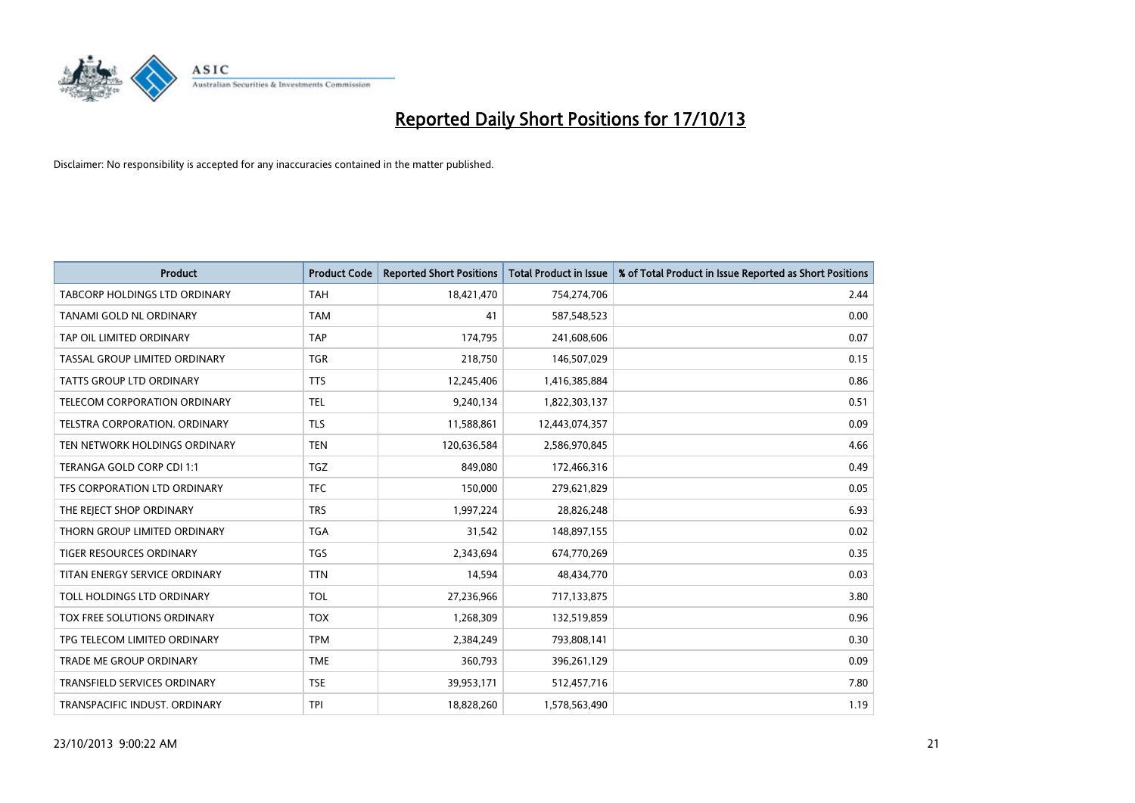

| <b>Product</b>                       | <b>Product Code</b> | <b>Reported Short Positions</b> | <b>Total Product in Issue</b> | % of Total Product in Issue Reported as Short Positions |
|--------------------------------------|---------------------|---------------------------------|-------------------------------|---------------------------------------------------------|
| <b>TABCORP HOLDINGS LTD ORDINARY</b> | <b>TAH</b>          | 18,421,470                      | 754,274,706                   | 2.44                                                    |
| TANAMI GOLD NL ORDINARY              | <b>TAM</b>          | 41                              | 587,548,523                   | 0.00                                                    |
| TAP OIL LIMITED ORDINARY             | <b>TAP</b>          | 174,795                         | 241,608,606                   | 0.07                                                    |
| TASSAL GROUP LIMITED ORDINARY        | <b>TGR</b>          | 218,750                         | 146,507,029                   | 0.15                                                    |
| <b>TATTS GROUP LTD ORDINARY</b>      | <b>TTS</b>          | 12,245,406                      | 1,416,385,884                 | 0.86                                                    |
| TELECOM CORPORATION ORDINARY         | <b>TEL</b>          | 9,240,134                       | 1,822,303,137                 | 0.51                                                    |
| TELSTRA CORPORATION, ORDINARY        | <b>TLS</b>          | 11,588,861                      | 12,443,074,357                | 0.09                                                    |
| TEN NETWORK HOLDINGS ORDINARY        | <b>TEN</b>          | 120,636,584                     | 2,586,970,845                 | 4.66                                                    |
| TERANGA GOLD CORP CDI 1:1            | <b>TGZ</b>          | 849,080                         | 172,466,316                   | 0.49                                                    |
| TFS CORPORATION LTD ORDINARY         | <b>TFC</b>          | 150,000                         | 279,621,829                   | 0.05                                                    |
| THE REJECT SHOP ORDINARY             | <b>TRS</b>          | 1,997,224                       | 28,826,248                    | 6.93                                                    |
| THORN GROUP LIMITED ORDINARY         | <b>TGA</b>          | 31,542                          | 148,897,155                   | 0.02                                                    |
| TIGER RESOURCES ORDINARY             | <b>TGS</b>          | 2,343,694                       | 674,770,269                   | 0.35                                                    |
| TITAN ENERGY SERVICE ORDINARY        | <b>TTN</b>          | 14,594                          | 48,434,770                    | 0.03                                                    |
| TOLL HOLDINGS LTD ORDINARY           | <b>TOL</b>          | 27,236,966                      | 717,133,875                   | 3.80                                                    |
| TOX FREE SOLUTIONS ORDINARY          | <b>TOX</b>          | 1,268,309                       | 132,519,859                   | 0.96                                                    |
| TPG TELECOM LIMITED ORDINARY         | <b>TPM</b>          | 2,384,249                       | 793,808,141                   | 0.30                                                    |
| <b>TRADE ME GROUP ORDINARY</b>       | <b>TME</b>          | 360,793                         | 396,261,129                   | 0.09                                                    |
| <b>TRANSFIELD SERVICES ORDINARY</b>  | <b>TSE</b>          | 39,953,171                      | 512,457,716                   | 7.80                                                    |
| TRANSPACIFIC INDUST. ORDINARY        | <b>TPI</b>          | 18,828,260                      | 1,578,563,490                 | 1.19                                                    |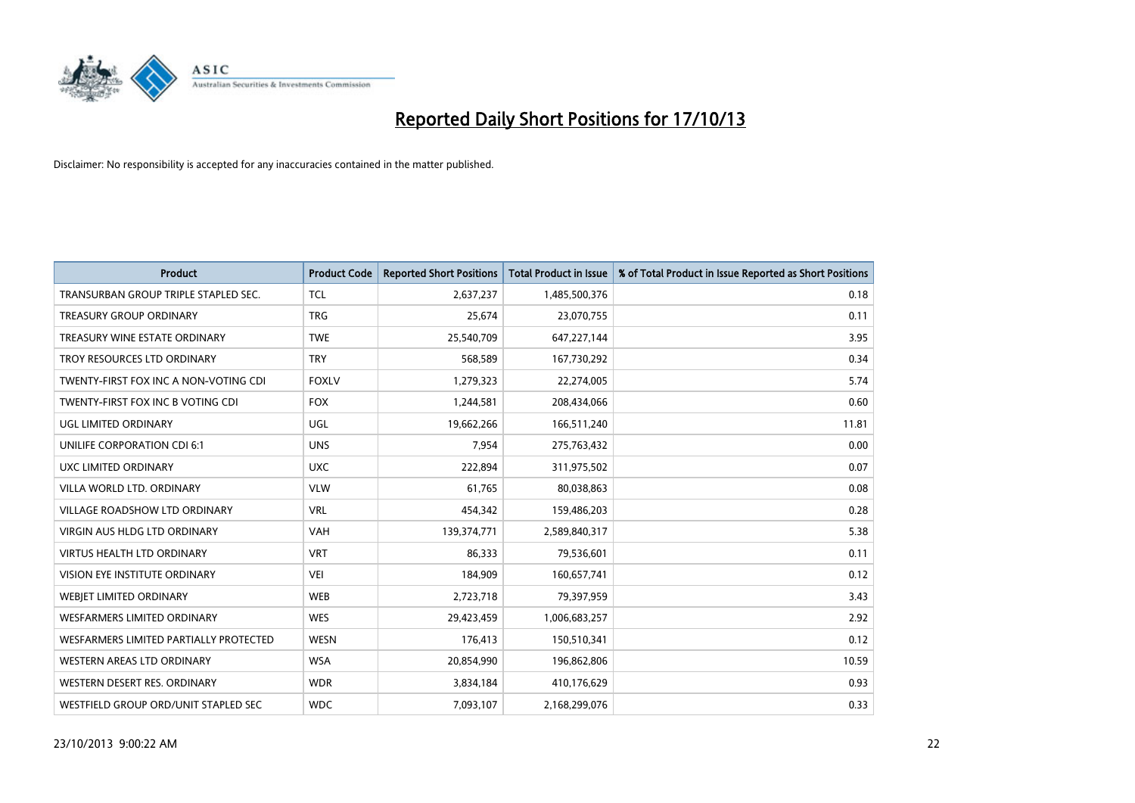

| <b>Product</b>                         | <b>Product Code</b> | <b>Reported Short Positions</b> | <b>Total Product in Issue</b> | % of Total Product in Issue Reported as Short Positions |
|----------------------------------------|---------------------|---------------------------------|-------------------------------|---------------------------------------------------------|
| TRANSURBAN GROUP TRIPLE STAPLED SEC.   | <b>TCL</b>          | 2,637,237                       | 1,485,500,376                 | 0.18                                                    |
| TREASURY GROUP ORDINARY                | <b>TRG</b>          | 25,674                          | 23,070,755                    | 0.11                                                    |
| TREASURY WINE ESTATE ORDINARY          | <b>TWE</b>          | 25,540,709                      | 647,227,144                   | 3.95                                                    |
| TROY RESOURCES LTD ORDINARY            | <b>TRY</b>          | 568,589                         | 167,730,292                   | 0.34                                                    |
| TWENTY-FIRST FOX INC A NON-VOTING CDI  | <b>FOXLV</b>        | 1,279,323                       | 22,274,005                    | 5.74                                                    |
| TWENTY-FIRST FOX INC B VOTING CDI      | <b>FOX</b>          | 1,244,581                       | 208,434,066                   | 0.60                                                    |
| UGL LIMITED ORDINARY                   | UGL                 | 19,662,266                      | 166,511,240                   | 11.81                                                   |
| UNILIFE CORPORATION CDI 6:1            | <b>UNS</b>          | 7,954                           | 275,763,432                   | 0.00                                                    |
| <b>UXC LIMITED ORDINARY</b>            | <b>UXC</b>          | 222,894                         | 311,975,502                   | 0.07                                                    |
| VILLA WORLD LTD, ORDINARY              | <b>VLW</b>          | 61,765                          | 80,038,863                    | 0.08                                                    |
| VILLAGE ROADSHOW LTD ORDINARY          | <b>VRL</b>          | 454,342                         | 159,486,203                   | 0.28                                                    |
| <b>VIRGIN AUS HLDG LTD ORDINARY</b>    | <b>VAH</b>          | 139,374,771                     | 2,589,840,317                 | 5.38                                                    |
| VIRTUS HEALTH LTD ORDINARY             | <b>VRT</b>          | 86,333                          | 79,536,601                    | 0.11                                                    |
| VISION EYE INSTITUTE ORDINARY          | <b>VEI</b>          | 184,909                         | 160,657,741                   | 0.12                                                    |
| WEBJET LIMITED ORDINARY                | <b>WEB</b>          | 2,723,718                       | 79,397,959                    | 3.43                                                    |
| <b>WESFARMERS LIMITED ORDINARY</b>     | <b>WES</b>          | 29,423,459                      | 1,006,683,257                 | 2.92                                                    |
| WESFARMERS LIMITED PARTIALLY PROTECTED | <b>WESN</b>         | 176,413                         | 150,510,341                   | 0.12                                                    |
| WESTERN AREAS LTD ORDINARY             | <b>WSA</b>          | 20,854,990                      | 196,862,806                   | 10.59                                                   |
| WESTERN DESERT RES. ORDINARY           | <b>WDR</b>          | 3,834,184                       | 410,176,629                   | 0.93                                                    |
| WESTFIELD GROUP ORD/UNIT STAPLED SEC   | <b>WDC</b>          | 7,093,107                       | 2,168,299,076                 | 0.33                                                    |